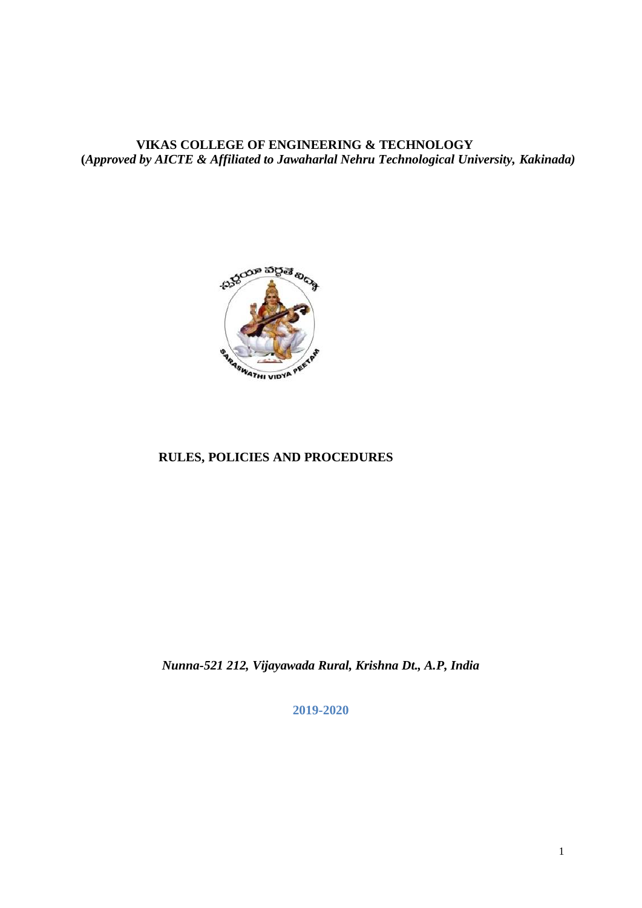**VIKAS COLLEGE OF ENGINEERING & TECHNOLOGY (***Approved by AICTE & Affiliated to Jawaharlal Nehru Technological University, Kakinada)*



# **RULES, POLICIES AND PROCEDURES**

*Nunna-521 212, Vijayawada Rural, Krishna Dt., A.P, India*

**2019-2020**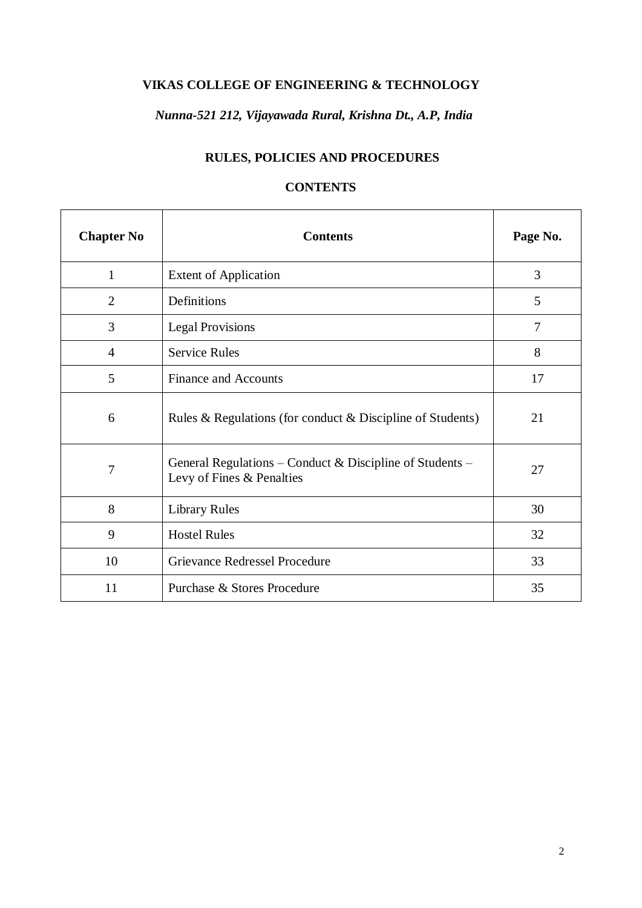# **VIKAS COLLEGE OF ENGINEERING & TECHNOLOGY**

# *Nunna-521 212, Vijayawada Rural, Krishna Dt., A.P, India*

# **RULES, POLICIES AND PROCEDURES**

# **CONTENTS**

| <b>Chapter No</b> | <b>Contents</b>                                                                       | Page No. |
|-------------------|---------------------------------------------------------------------------------------|----------|
| $\mathbf{1}$      | <b>Extent of Application</b>                                                          | 3        |
| $\overline{2}$    | Definitions                                                                           | 5        |
| 3                 | <b>Legal Provisions</b>                                                               | 7        |
| $\overline{4}$    | <b>Service Rules</b>                                                                  | 8        |
| 5                 | <b>Finance and Accounts</b>                                                           | 17       |
| 6                 | Rules & Regulations (for conduct & Discipline of Students)                            | 21       |
| 7                 | General Regulations – Conduct & Discipline of Students –<br>Levy of Fines & Penalties | 27       |
| 8                 | <b>Library Rules</b>                                                                  | 30       |
| 9                 | <b>Hostel Rules</b>                                                                   | 32       |
| 10                | Grievance Redressel Procedure                                                         | 33       |
| 11                | Purchase & Stores Procedure                                                           | 35       |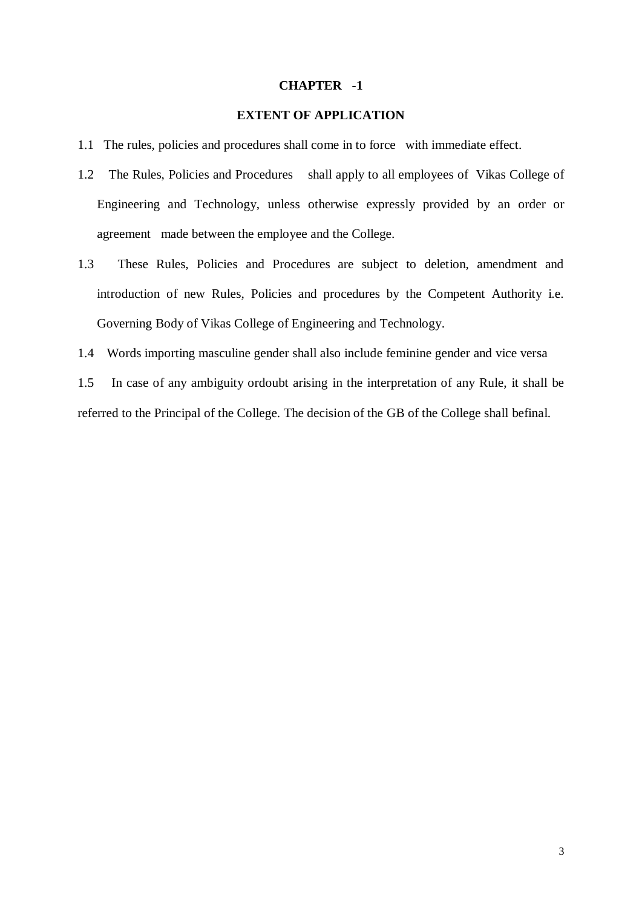#### **CHAPTER -1**

## **EXTENT OF APPLICATION**

- 1.1 The rules, policies and procedures shall come in to force with immediate effect.
- 1.2 The Rules, Policies and Procedures shall apply to all employees of Vikas College of Engineering and Technology, unless otherwise expressly provided by an order or agreement made between the employee and the College.
- 1.3 These Rules, Policies and Procedures are subject to deletion, amendment and introduction of new Rules, Policies and procedures by the Competent Authority i.e. Governing Body of Vikas College of Engineering and Technology.
- 1.4 Words importing masculine gender shall also include feminine gender and vice versa

1.5 In case of any ambiguity ordoubt arising in the interpretation of any Rule, it shall be referred to the Principal of the College. The decision of the GB of the College shall befinal.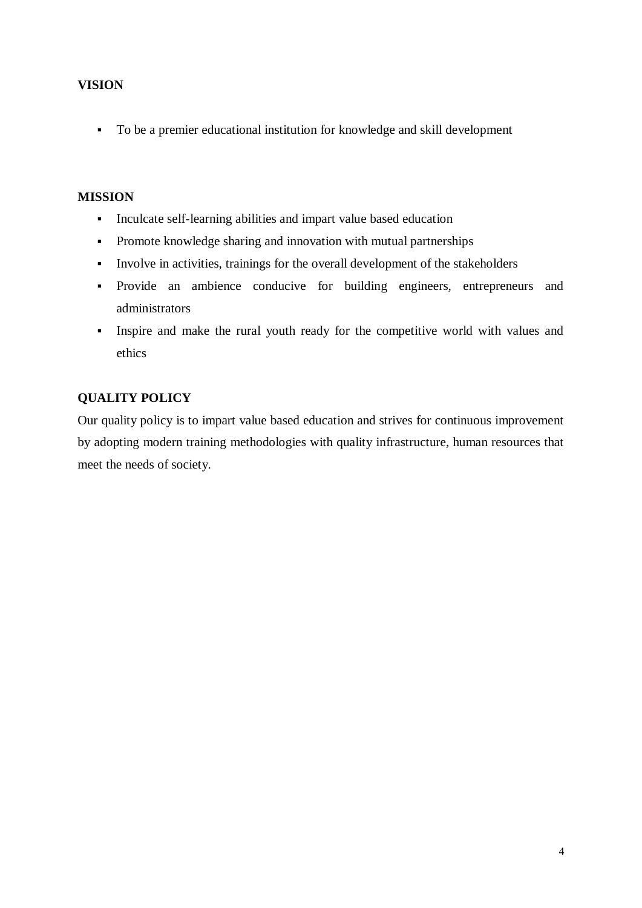# **VISION**

To be a premier educational institution for knowledge and skill development

## **MISSION**

- Inculcate self-learning abilities and impart value based education
- Promote knowledge sharing and innovation with mutual partnerships
- Involve in activities, trainings for the overall development of the stakeholders
- Provide an ambience conducive for building engineers, entrepreneurs and administrators
- Inspire and make the rural youth ready for the competitive world with values and ethics

# **QUALITY POLICY**

Our quality policy is to impart value based education and strives for continuous improvement by adopting modern training methodologies with quality infrastructure, human resources that meet the needs of society.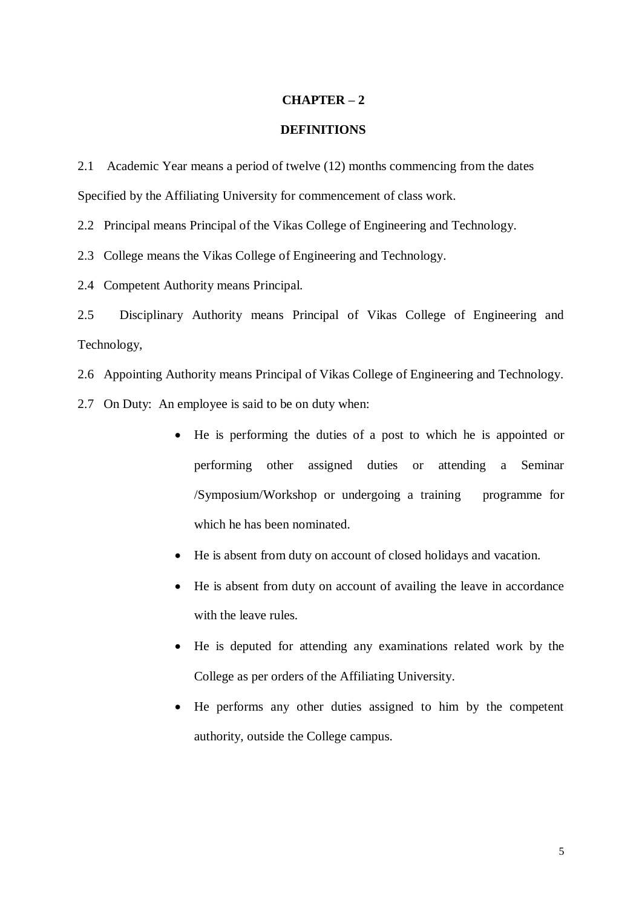#### **CHAPTER – 2**

#### **DEFINITIONS**

2.1 Academic Year means a period of twelve (12) months commencing from the dates Specified by the Affiliating University for commencement of class work.

2.2 Principal means Principal of the Vikas College of Engineering and Technology.

2.3 College means the Vikas College of Engineering and Technology.

2.4 Competent Authority means Principal.

2.5 Disciplinary Authority means Principal of Vikas College of Engineering and Technology,

2.6 Appointing Authority means Principal of Vikas College of Engineering and Technology.

2.7 On Duty: An employee is said to be on duty when:

- He is performing the duties of a post to which he is appointed or performing other assigned duties or attending a Seminar /Symposium/Workshop or undergoing a training programme for which he has been nominated.
- He is absent from duty on account of closed holidays and vacation.
- He is absent from duty on account of availing the leave in accordance with the leave rules.
- He is deputed for attending any examinations related work by the College as per orders of the Affiliating University.
- He performs any other duties assigned to him by the competent authority, outside the College campus.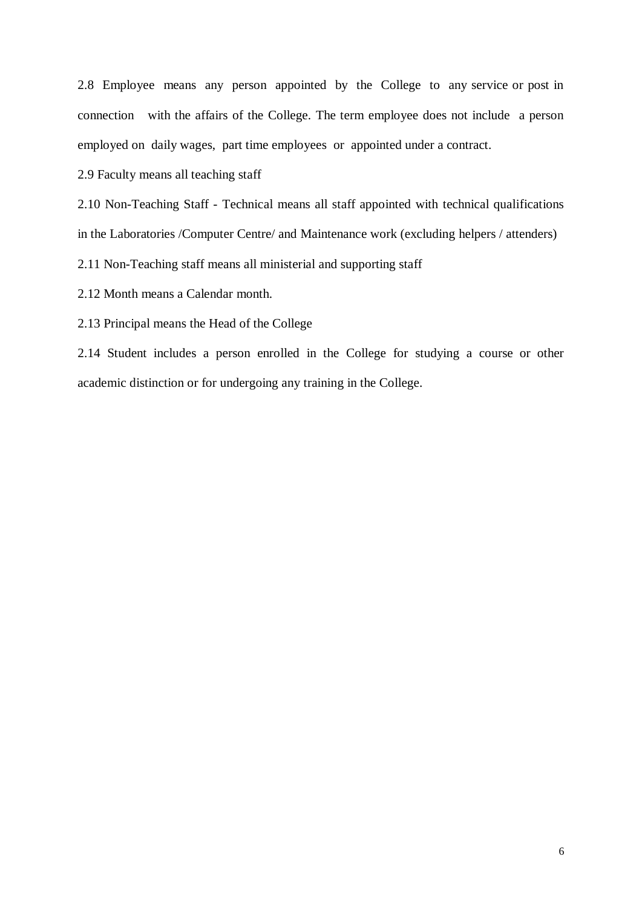2.8 Employee means any person appointed by the College to any service or post in connection with the affairs of the College. The term employee does not include a person employed on daily wages, part time employees or appointed under a contract.

2.9 Faculty means all teaching staff

2.10 Non-Teaching Staff - Technical means all staff appointed with technical qualifications in the Laboratories /Computer Centre/ and Maintenance work (excluding helpers / attenders)

2.11 Non-Teaching staff means all ministerial and supporting staff

2.12 Month means a Calendar month.

2.13 Principal means the Head of the College

2.14 Student includes a person enrolled in the College for studying a course or other academic distinction or for undergoing any training in the College.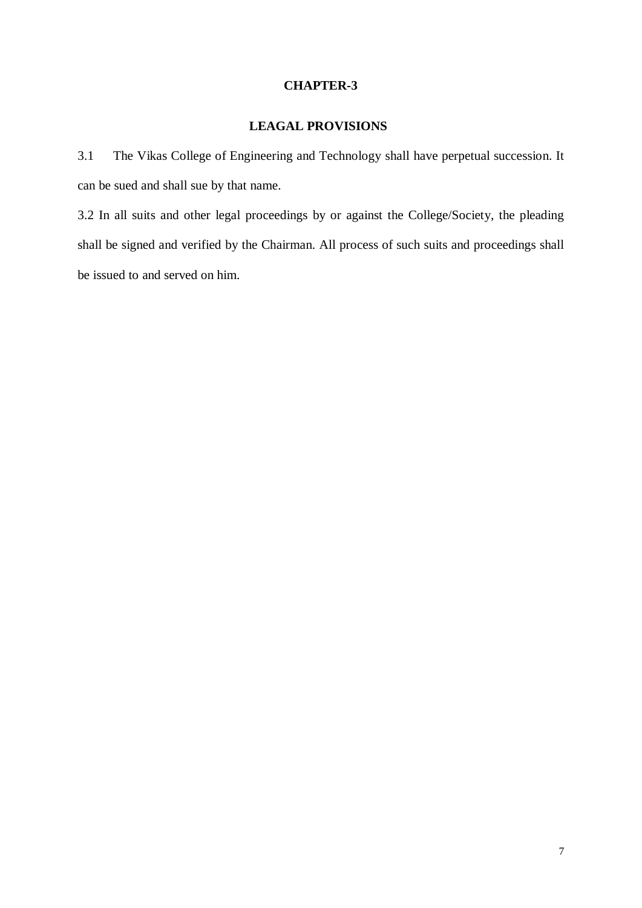#### **CHAPTER-3**

# **LEAGAL PROVISIONS**

3.1 The Vikas College of Engineering and Technology shall have perpetual succession. It can be sued and shall sue by that name.

3.2 In all suits and other legal proceedings by or against the College/Society, the pleading shall be signed and verified by the Chairman. All process of such suits and proceedings shall be issued to and served on him.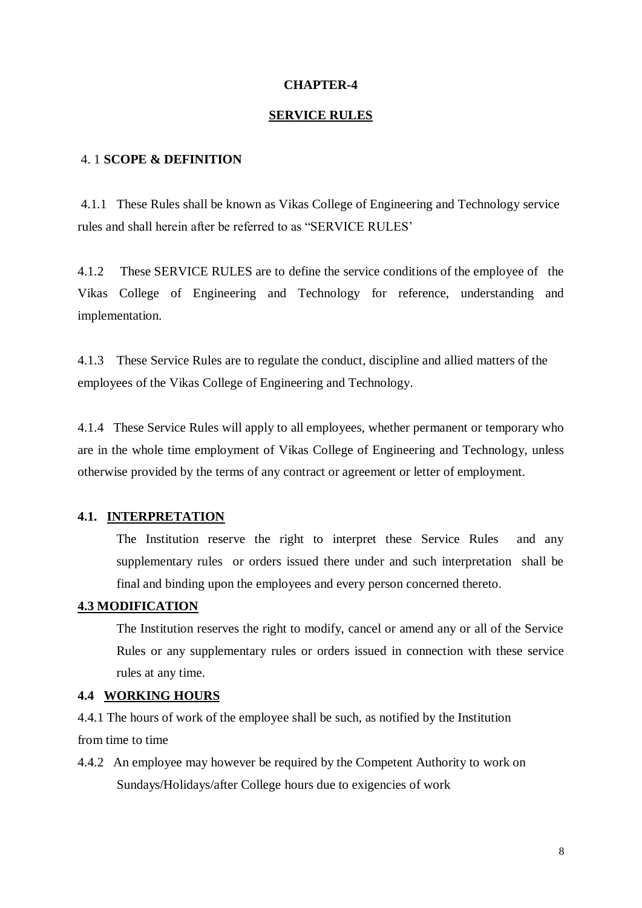#### **CHAPTER-4**

#### **SERVICE RULES**

#### 4. 1 **SCOPE & DEFINITION**

4.1.1 These Rules shall be known as Vikas College of Engineering and Technology service rules and shall herein after be referred to as "SERVICE RULES'

4.1.2 These SERVICE RULES are to define the service conditions of the employee of the Vikas College of Engineering and Technology for reference, understanding and implementation.

4.1.3 These Service Rules are to regulate the conduct, discipline and allied matters of the employees of the Vikas College of Engineering and Technology.

4.1.4 These Service Rules will apply to all employees, whether permanent or temporary who are in the whole time employment of Vikas College of Engineering and Technology, unless otherwise provided by the terms of any contract or agreement or letter of employment.

#### **4.1. INTERPRETATION**

The Institution reserve the right to interpret these Service Rules and any supplementary rules or orders issued there under and such interpretation shall be final and binding upon the employees and every person concerned thereto.

#### **4.3 MODIFICATION**

The Institution reserves the right to modify, cancel or amend any or all of the Service Rules or any supplementary rules or orders issued in connection with these service rules at any time.

#### **4.4 WORKING HOURS**

4.4.1 The hours of work of the employee shall be such, as notified by the Institution from time to time

4.4.2 An employee may however be required by the Competent Authority to work on Sundays/Holidays/after College hours due to exigencies of work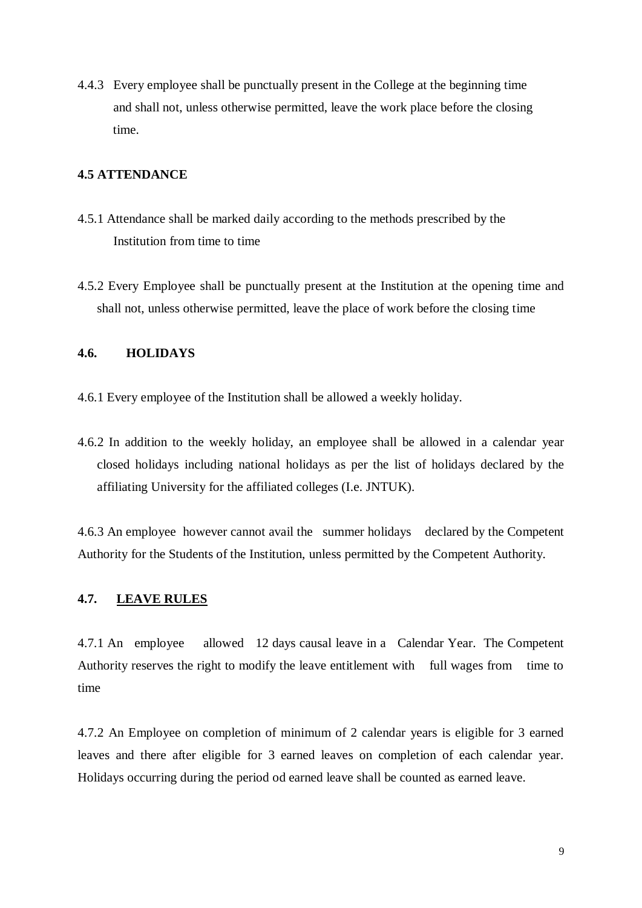4.4.3 Every employee shall be punctually present in the College at the beginning time and shall not, unless otherwise permitted, leave the work place before the closing time.

## **4.5 ATTENDANCE**

- 4.5.1 Attendance shall be marked daily according to the methods prescribed by the Institution from time to time
- 4.5.2 Every Employee shall be punctually present at the Institution at the opening time and shall not, unless otherwise permitted, leave the place of work before the closing time

#### **4.6. HOLIDAYS**

- 4.6.1 Every employee of the Institution shall be allowed a weekly holiday.
- 4.6.2 In addition to the weekly holiday, an employee shall be allowed in a calendar year closed holidays including national holidays as per the list of holidays declared by the affiliating University for the affiliated colleges (I.e. JNTUK).

4.6.3 An employee however cannot avail the summer holidays declared by the Competent Authority for the Students of the Institution, unless permitted by the Competent Authority.

# **4.7. LEAVE RULES**

4.7.1 An employee allowed 12 days causal leave in a Calendar Year. The Competent Authority reserves the right to modify the leave entitlement with full wages from time to time

4.7.2 An Employee on completion of minimum of 2 calendar years is eligible for 3 earned leaves and there after eligible for 3 earned leaves on completion of each calendar year. Holidays occurring during the period od earned leave shall be counted as earned leave.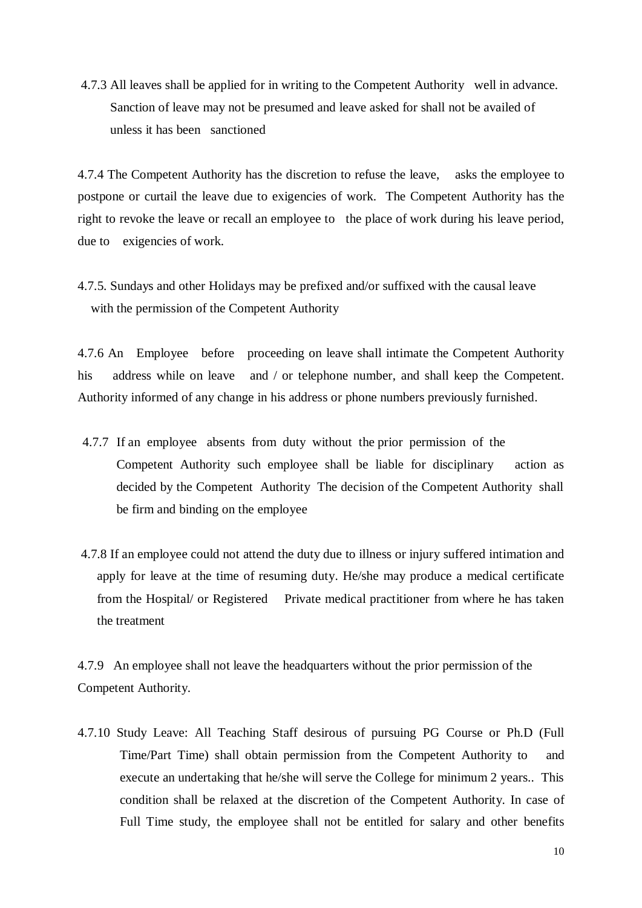4.7.3 All leaves shall be applied for in writing to the Competent Authority well in advance. Sanction of leave may not be presumed and leave asked for shall not be availed of unless it has been sanctioned

4.7.4 The Competent Authority has the discretion to refuse the leave, asks the employee to postpone or curtail the leave due to exigencies of work. The Competent Authority has the right to revoke the leave or recall an employee to the place of work during his leave period, due to exigencies of work.

4.7.5. Sundays and other Holidays may be prefixed and/or suffixed with the causal leave with the permission of the Competent Authority

4.7.6 An Employee before proceeding on leave shall intimate the Competent Authority his address while on leave and / or telephone number, and shall keep the Conpetent. Authority informed of any change in his address or phone numbers previously furnished.

- 4.7.7 If an employee absents from duty without the prior permission of the Competent Authority such employee shall be liable for disciplinary action as decided by the Competent Authority The decision of the Competent Authority shall be firm and binding on the employee
- 4.7.8 If an employee could not attend the duty due to illness or injury suffered intimation and apply for leave at the time of resuming duty. He/she may produce a medical certificate from the Hospital/ or Registered Private medical practitioner from where he has taken the treatment

4.7.9 An employee shall not leave the headquarters without the prior permission of the Competent Authority.

4.7.10 Study Leave: All Teaching Staff desirous of pursuing PG Course or Ph.D (Full Time/Part Time) shall obtain permission from the Competent Authority to and execute an undertaking that he/she will serve the College for minimum 2 years.. This condition shall be relaxed at the discretion of the Competent Authority. In case of Full Time study, the employee shall not be entitled for salary and other benefits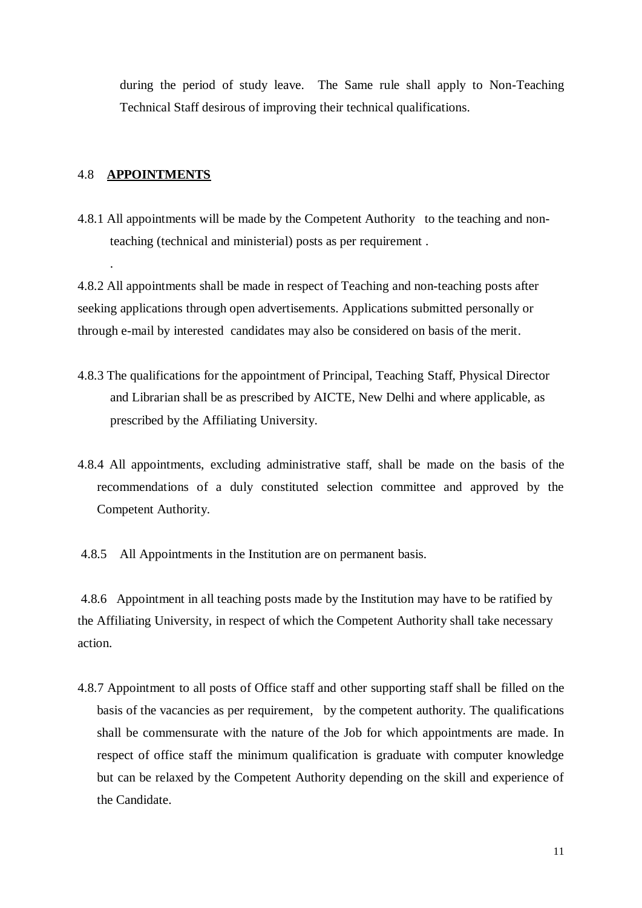during the period of study leave. The Same rule shall apply to Non-Teaching Technical Staff desirous of improving their technical qualifications.

## 4.8 **APPOINTMENTS**

.

4.8.1 All appointments will be made by the Competent Authority to the teaching and non teaching (technical and ministerial) posts as per requirement .

4.8.2 All appointments shall be made in respect of Teaching and non-teaching posts after seeking applications through open advertisements. Applications submitted personally or through e-mail by interested candidates may also be considered on basis of the merit.

- 4.8.3 The qualifications for the appointment of Principal, Teaching Staff, Physical Director and Librarian shall be as prescribed by AICTE, New Delhi and where applicable, as prescribed by the Affiliating University.
- 4.8.4 All appointments, excluding administrative staff, shall be made on the basis of the recommendations of a duly constituted selection committee and approved by the Competent Authority.

4.8.5 All Appointments in the Institution are on permanent basis.

4.8.6 Appointment in all teaching posts made by the Institution may have to be ratified by the Affiliating University, in respect of which the Competent Authority shall take necessary action.

4.8.7 Appointment to all posts of Office staff and other supporting staff shall be filled on the basis of the vacancies as per requirement, by the competent authority. The qualifications shall be commensurate with the nature of the Job for which appointments are made. In respect of office staff the minimum qualification is graduate with computer knowledge but can be relaxed by the Competent Authority depending on the skill and experience of the Candidate.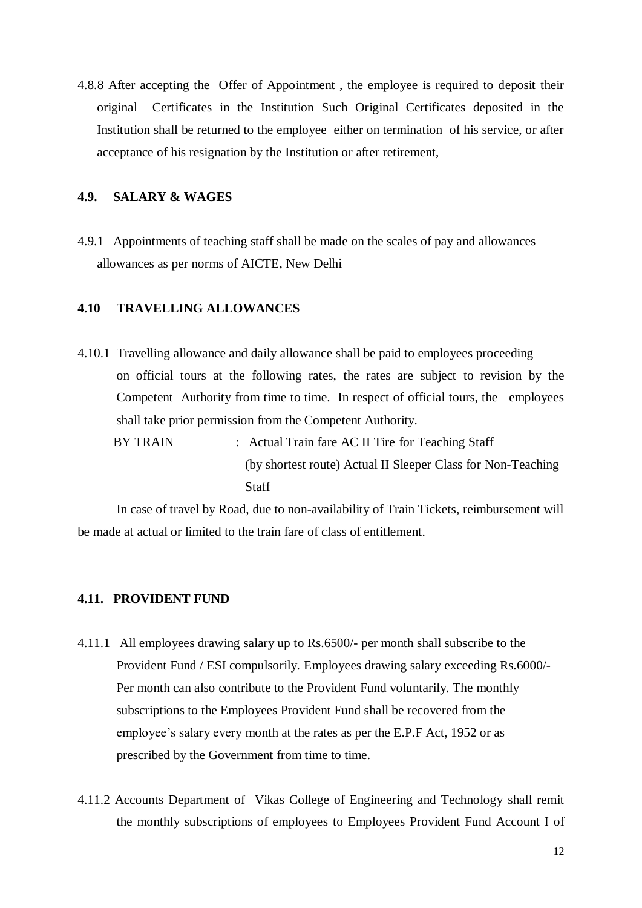4.8.8 After accepting the Offer of Appointment , the employee is required to deposit their original Certificates in the Institution Such Original Certificates deposited in the Institution shall be returned to the employee either on termination of his service, or after acceptance of his resignation by the Institution or after retirement,

## **4.9. SALARY & WAGES**

4.9.1 Appointments of teaching staff shall be made on the scales of pay and allowances allowances as per norms of AICTE, New Delhi

## **4.10 TRAVELLING ALLOWANCES**

- 4.10.1 Travelling allowance and daily allowance shall be paid to employees proceeding on official tours at the following rates, the rates are subject to revision by the Competent Authority from time to time. In respect of official tours, the employees shall take prior permission from the Competent Authority.
	- BY TRAIN : Actual Train fare AC II Tire for Teaching Staff (by shortest route) Actual II Sleeper Class for Non-Teaching Staff

In case of travel by Road, due to non-availability of Train Tickets, reimbursement will be made at actual or limited to the train fare of class of entitlement.

#### **4.11. PROVIDENT FUND**

- 4.11.1 All employees drawing salary up to Rs.6500/- per month shall subscribe to the Provident Fund / ESI compulsorily. Employees drawing salary exceeding Rs.6000/- Per month can also contribute to the Provident Fund voluntarily. The monthly subscriptions to the Employees Provident Fund shall be recovered from the employee's salary every month at the rates as per the E.P.F Act, 1952 or as prescribed by the Government from time to time.
- 4.11.2 Accounts Department of Vikas College of Engineering and Technology shall remit the monthly subscriptions of employees to Employees Provident Fund Account I of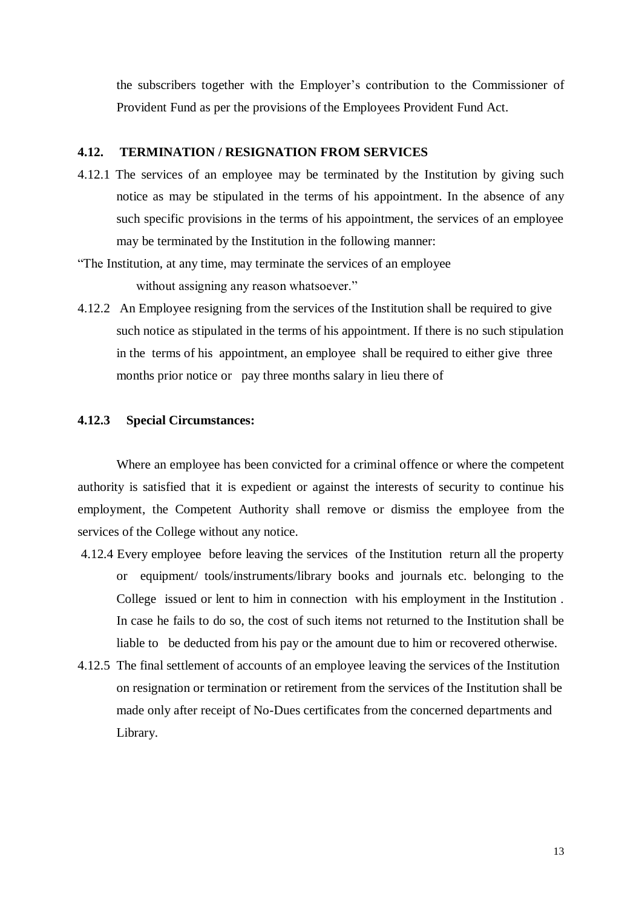the subscribers together with the Employer's contribution to the Commissioner of Provident Fund as per the provisions of the Employees Provident Fund Act.

## **4.12. TERMINATION / RESIGNATION FROM SERVICES**

- 4.12.1 The services of an employee may be terminated by the Institution by giving such notice as may be stipulated in the terms of his appointment. In the absence of any such specific provisions in the terms of his appointment, the services of an employee may be terminated by the Institution in the following manner:
- "The Institution, at any time, may terminate the services of an employee without assigning any reason whatsoever."
- 4.12.2 An Employee resigning from the services of the Institution shall be required to give such notice as stipulated in the terms of his appointment. If there is no such stipulation in the terms of his appointment, an employee shall be required to either give three months prior notice or pay three months salary in lieu there of

#### **4.12.3 Special Circumstances:**

Where an employee has been convicted for a criminal offence or where the competent authority is satisfied that it is expedient or against the interests of security to continue his employment, the Competent Authority shall remove or dismiss the employee from the services of the College without any notice.

- 4.12.4 Every employee before leaving the services of the Institution return all the property or equipment/ tools/instruments/library books and journals etc. belonging to the College issued or lent to him in connection with his employment in the Institution . In case he fails to do so, the cost of such items not returned to the Institution shall be liable to be deducted from his pay or the amount due to him or recovered otherwise.
- 4.12.5 The final settlement of accounts of an employee leaving the services of the Institution on resignation or termination or retirement from the services of the Institution shall be made only after receipt of No-Dues certificates from the concerned departments and Library.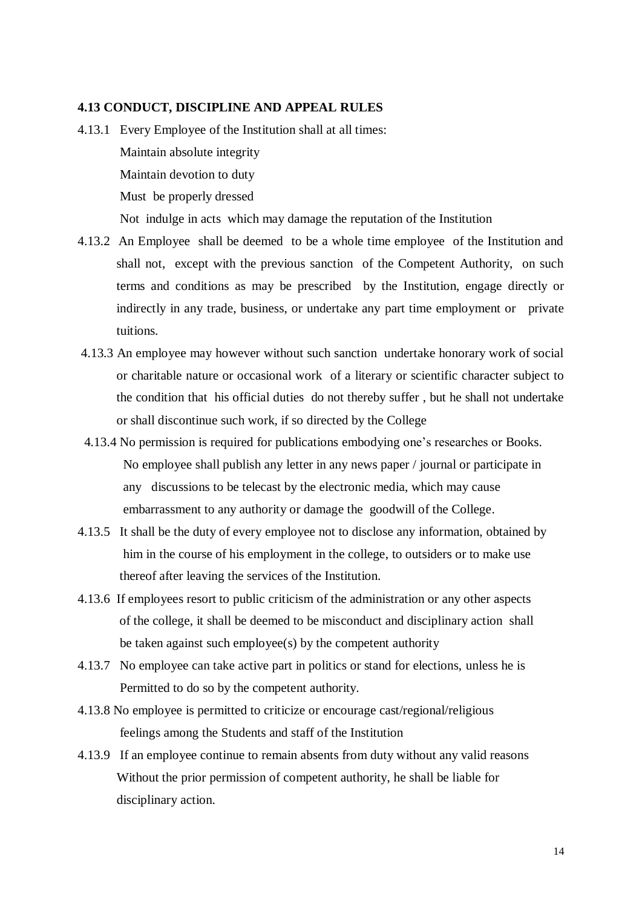#### **4.13 CONDUCT, DISCIPLINE AND APPEAL RULES**

- 4.13.1 Every Employee of the Institution shall at all times: Maintain absolute integrity Maintain devotion to duty Must be properly dressed Not indulge in acts which may damage the reputation of the Institution
- 4.13.2 An Employee shall be deemed to be a whole time employee of the Institution and shall not, except with the previous sanction of the Competent Authority, on such terms and conditions as may be prescribed by the Institution, engage directly or indirectly in any trade, business, or undertake any part time employment or private tuitions.
- 4.13.3 An employee may however without such sanction undertake honorary work of social or charitable nature or occasional work of a literary or scientific character subject to the condition that his official duties do not thereby suffer , but he shall not undertake or shall discontinue such work, if so directed by the College
- 4.13.4 No permission is required for publications embodying one's researches or Books. No employee shall publish any letter in any news paper / journal or participate in any discussions to be telecast by the electronic media, which may cause embarrassment to any authority or damage the goodwill of the College.
- 4.13.5 It shall be the duty of every employee not to disclose any information, obtained by him in the course of his employment in the college, to outsiders or to make use thereof after leaving the services of the Institution.
- 4.13.6 If employees resort to public criticism of the administration or any other aspects of the college, it shall be deemed to be misconduct and disciplinary action shall be taken against such employee(s) by the competent authority
- 4.13.7 No employee can take active part in politics or stand for elections, unless he is Permitted to do so by the competent authority.
- 4.13.8 No employee is permitted to criticize or encourage cast/regional/religious feelings among the Students and staff of the Institution
- 4.13.9 If an employee continue to remain absents from duty without any valid reasons Without the prior permission of competent authority, he shall be liable for disciplinary action.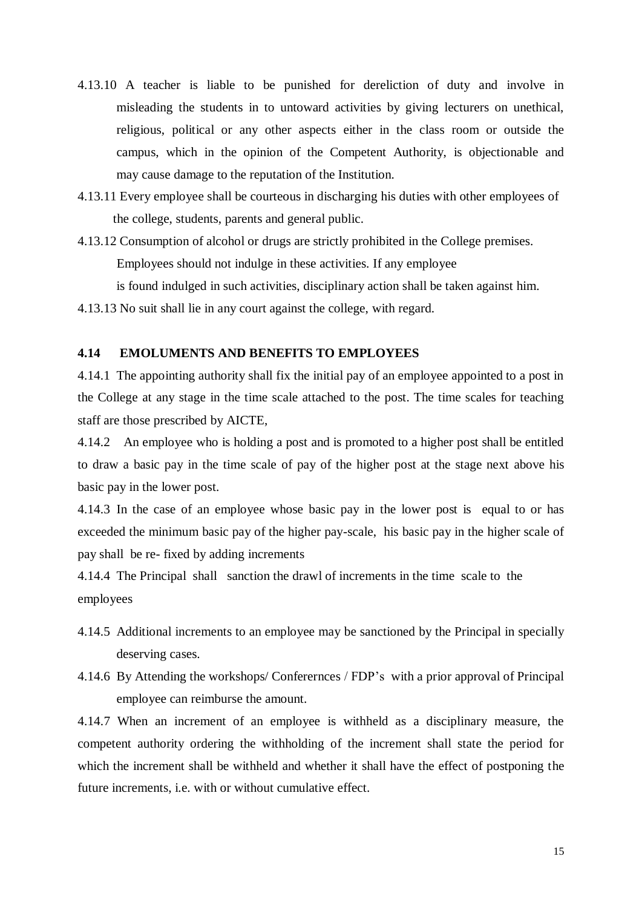- 4.13.10 A teacher is liable to be punished for dereliction of duty and involve in misleading the students in to untoward activities by giving lecturers on unethical, religious, political or any other aspects either in the class room or outside the campus, which in the opinion of the Competent Authority, is objectionable and may cause damage to the reputation of the Institution.
- 4.13.11 Every employee shall be courteous in discharging his duties with other employees of the college, students, parents and general public.
- 4.13.12 Consumption of alcohol or drugs are strictly prohibited in the College premises. Employees should not indulge in these activities. If any employee is found indulged in such activities, disciplinary action shall be taken against him.
- 4.13.13 No suit shall lie in any court against the college, with regard.

#### **4.14 EMOLUMENTS AND BENEFITS TO EMPLOYEES**

4.14.1 The appointing authority shall fix the initial pay of an employee appointed to a post in the College at any stage in the time scale attached to the post. The time scales for teaching staff are those prescribed by AICTE,

4.14.2 An employee who is holding a post and is promoted to a higher post shall be entitled to draw a basic pay in the time scale of pay of the higher post at the stage next above his basic pay in the lower post.

4.14.3 In the case of an employee whose basic pay in the lower post is equal to or has exceeded the minimum basic pay of the higher pay-scale, his basic pay in the higher scale of pay shall be re- fixed by adding increments

4.14.4 The Principal shall sanction the drawl of increments in the time scale to the employees

- 4.14.5 Additional increments to an employee may be sanctioned by the Principal in specially deserving cases.
- 4.14.6 By Attending the workshops/ Conferernces / FDP's with a prior approval of Principal employee can reimburse the amount.

4.14.7 When an increment of an employee is withheld as a disciplinary measure, the competent authority ordering the withholding of the increment shall state the period for which the increment shall be withheld and whether it shall have the effect of postponing the future increments, i.e. with or without cumulative effect.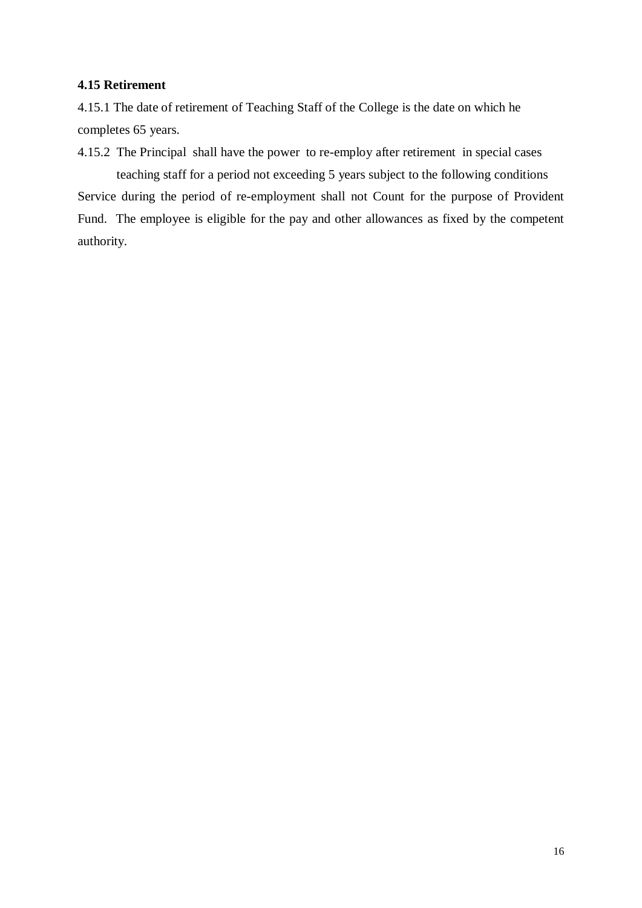## **4.15 Retirement**

4.15.1 The date of retirement of Teaching Staff of the College is the date on which he completes 65 years.

4.15.2 The Principal shall have the power to re-employ after retirement in special cases teaching staff for a period not exceeding 5 years subject to the following conditions Service during the period of re-employment shall not Count for the purpose of Provident Fund. The employee is eligible for the pay and other allowances as fixed by the competent authority.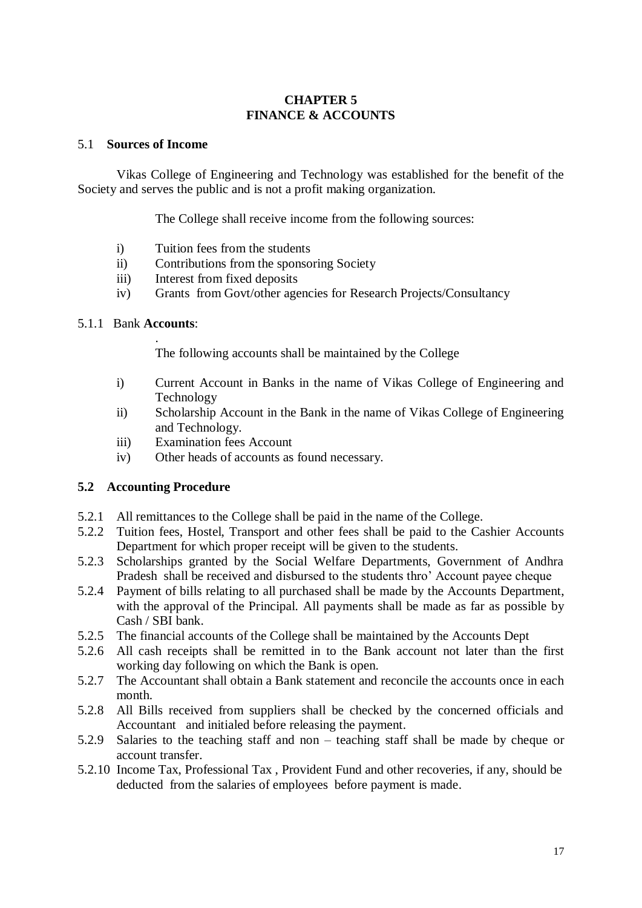# **CHAPTER 5 FINANCE & ACCOUNTS**

#### 5.1 **Sources of Income**

Vikas College of Engineering and Technology was established for the benefit of the Society and serves the public and is not a profit making organization.

The College shall receive income from the following sources:

- i) Tuition fees from the students
- ii) Contributions from the sponsoring Society
- iii) Interest from fixed deposits
- iv) Grants from Govt/other agencies for Research Projects/Consultancy

#### 5.1.1 Bank **Accounts**:

.

The following accounts shall be maintained by the College

- i) Current Account in Banks in the name of Vikas College of Engineering and Technology
- ii) Scholarship Account in the Bank in the name of Vikas College of Engineering and Technology.
- iii) Examination fees Account
- iv) Other heads of accounts as found necessary.

## **5.2 Accounting Procedure**

- 5.2.1 All remittances to the College shall be paid in the name of the College.
- 5.2.2 Tuition fees, Hostel, Transport and other fees shall be paid to the Cashier Accounts Department for which proper receipt will be given to the students.
- 5.2.3 Scholarships granted by the Social Welfare Departments, Government of Andhra Pradesh shall be received and disbursed to the students thro' Account payee cheque
- 5.2.4 Payment of bills relating to all purchased shall be made by the Accounts Department, with the approval of the Principal. All payments shall be made as far as possible by Cash / SBI bank.
- 5.2.5 The financial accounts of the College shall be maintained by the Accounts Dept
- 5.2.6 All cash receipts shall be remitted in to the Bank account not later than the first working day following on which the Bank is open.
- 5.2.7 The Accountant shall obtain a Bank statement and reconcile the accounts once in each month.
- 5.2.8 All Bills received from suppliers shall be checked by the concerned officials and Accountant and initialed before releasing the payment.
- 5.2.9 Salaries to the teaching staff and non teaching staff shall be made by cheque or account transfer.
- 5.2.10 Income Tax, Professional Tax , Provident Fund and other recoveries, if any, should be deducted from the salaries of employees before payment is made.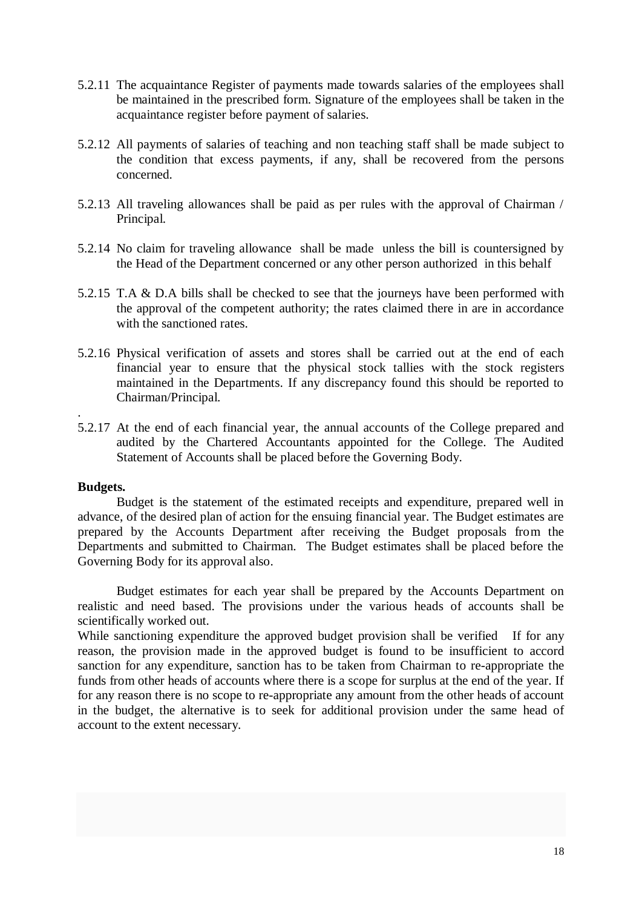- 5.2.11 The acquaintance Register of payments made towards salaries of the employees shall be maintained in the prescribed form. Signature of the employees shall be taken in the acquaintance register before payment of salaries.
- 5.2.12 All payments of salaries of teaching and non teaching staff shall be made subject to the condition that excess payments, if any, shall be recovered from the persons concerned.
- 5.2.13 All traveling allowances shall be paid as per rules with the approval of Chairman / Principal.
- 5.2.14 No claim for traveling allowance shall be made unless the bill is countersigned by the Head of the Department concerned or any other person authorized in this behalf
- 5.2.15 T.A & D.A bills shall be checked to see that the journeys have been performed with the approval of the competent authority; the rates claimed there in are in accordance with the sanctioned rates.
- 5.2.16 Physical verification of assets and stores shall be carried out at the end of each financial year to ensure that the physical stock tallies with the stock registers maintained in the Departments. If any discrepancy found this should be reported to Chairman/Principal.
- 5.2.17 At the end of each financial year, the annual accounts of the College prepared and audited by the Chartered Accountants appointed for the College. The Audited Statement of Accounts shall be placed before the Governing Body.

#### **Budgets.**

.

Budget is the statement of the estimated receipts and expenditure, prepared well in advance, of the desired plan of action for the ensuing financial year. The Budget estimates are prepared by the Accounts Department after receiving the Budget proposals from the Departments and submitted to Chairman. The Budget estimates shall be placed before the Governing Body for its approval also.

Budget estimates for each year shall be prepared by the Accounts Department on realistic and need based. The provisions under the various heads of accounts shall be scientifically worked out.

While sanctioning expenditure the approved budget provision shall be verified If for any reason, the provision made in the approved budget is found to be insufficient to accord sanction for any expenditure, sanction has to be taken from Chairman to re-appropriate the funds from other heads of accounts where there is a scope for surplus at the end of the year. If for any reason there is no scope to re-appropriate any amount from the other heads of account in the budget, the alternative is to seek for additional provision under the same head of account to the extent necessary.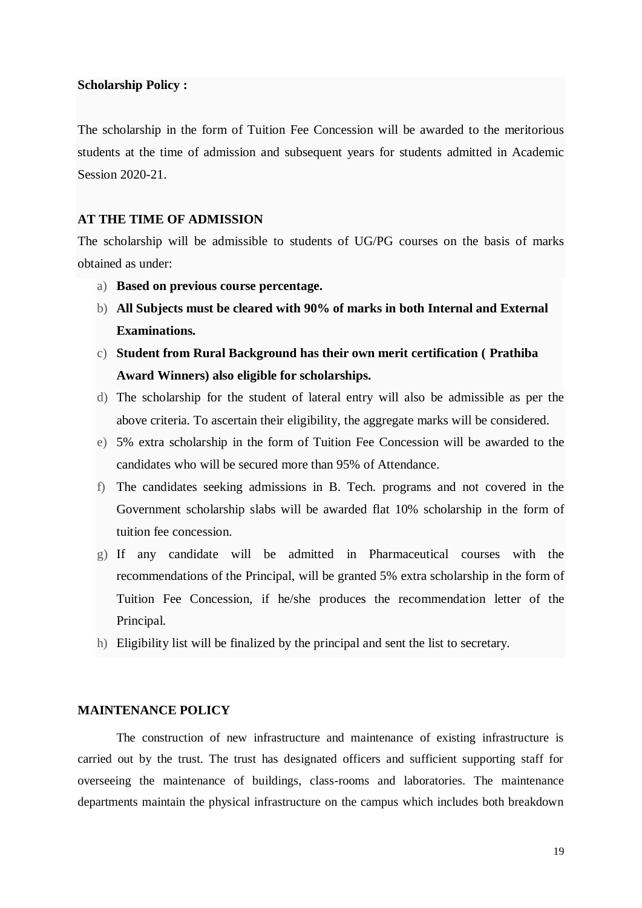#### **Scholarship Policy :**

The scholarship in the form of Tuition Fee Concession will be awarded to the meritorious students at the time of admission and subsequent years for students admitted in Academic Session 2020-21.

## **AT THE TIME OF ADMISSION**

The scholarship will be admissible to students of UG/PG courses on the basis of marks obtained as under:

- a) **Based on previous course percentage.**
- b) **All Subjects must be cleared with 90% of marks in both Internal and External Examinations.**
- c) **Student from Rural Background has their own merit certification ( Prathiba Award Winners) also eligible for scholarships.**
- d) The scholarship for the student of lateral entry will also be admissible as per the above criteria. To ascertain their eligibility, the aggregate marks will be considered.
- e) 5% extra scholarship in the form of Tuition Fee Concession will be awarded to the candidates who will be secured more than 95% of Attendance.
- f) The candidates seeking admissions in B. Tech. programs and not covered in the Government scholarship slabs will be awarded flat 10% scholarship in the form of tuition fee concession.
- g) If any candidate will be admitted in Pharmaceutical courses with the recommendations of the Principal, will be granted 5% extra scholarship in the form of Tuition Fee Concession, if he/she produces the recommendation letter of the Principal.
- h) Eligibility list will be finalized by the principal and sent the list to secretary.

#### **MAINTENANCE POLICY**

The construction of new infrastructure and maintenance of existing infrastructure is carried out by the trust. The trust has designated officers and sufficient supporting staff for overseeing the maintenance of buildings, class-rooms and laboratories. The maintenance departments maintain the physical infrastructure on the campus which includes both breakdown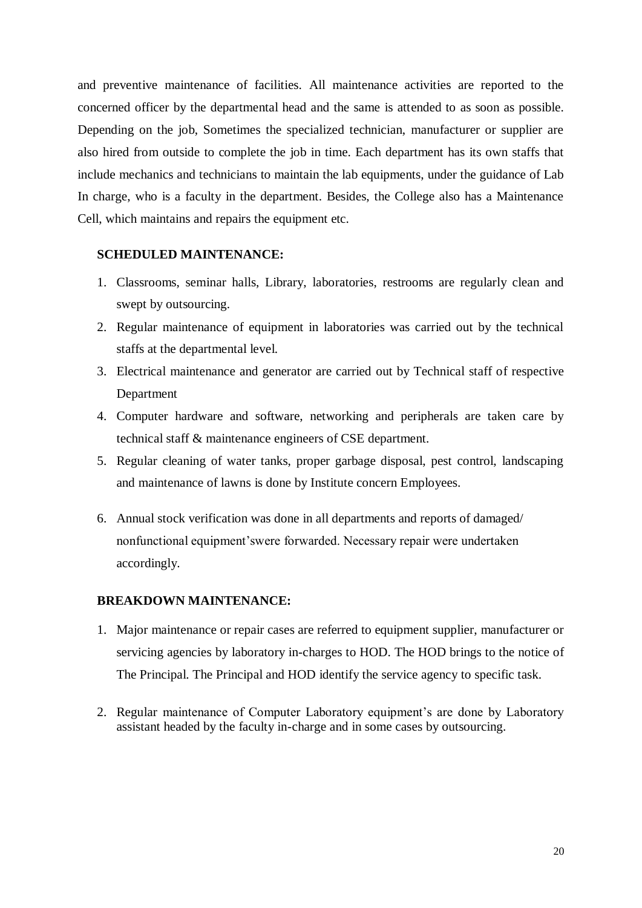and preventive maintenance of facilities. All maintenance activities are reported to the concerned officer by the departmental head and the same is attended to as soon as possible. Depending on the job, Sometimes the specialized technician, manufacturer or supplier are also hired from outside to complete the job in time. Each department has its own staffs that include mechanics and technicians to maintain the lab equipments, under the guidance of Lab In charge, who is a faculty in the department. Besides, the College also has a Maintenance Cell, which maintains and repairs the equipment etc.

#### **SCHEDULED MAINTENANCE:**

- 1. Classrooms, seminar halls, Library, laboratories, restrooms are regularly clean and swept by outsourcing.
- 2. Regular maintenance of equipment in laboratories was carried out by the technical staffs at the departmental level.
- 3. Electrical maintenance and generator are carried out by Technical staff of respective Department
- 4. Computer hardware and software, networking and peripherals are taken care by technical staff & maintenance engineers of CSE department.
- 5. Regular cleaning of water tanks, proper garbage disposal, pest control, landscaping and maintenance of lawns is done by Institute concern Employees.
- 6. Annual stock verification was done in all departments and reports of damaged/ nonfunctional equipment'swere forwarded. Necessary repair were undertaken accordingly.

### **BREAKDOWN MAINTENANCE:**

- 1. Major maintenance or repair cases are referred to equipment supplier, manufacturer or servicing agencies by laboratory in-charges to HOD. The HOD brings to the notice of The Principal. The Principal and HOD identify the service agency to specific task.
- 2. Regular maintenance of Computer Laboratory equipment's are done by Laboratory assistant headed by the faculty in-charge and in some cases by outsourcing.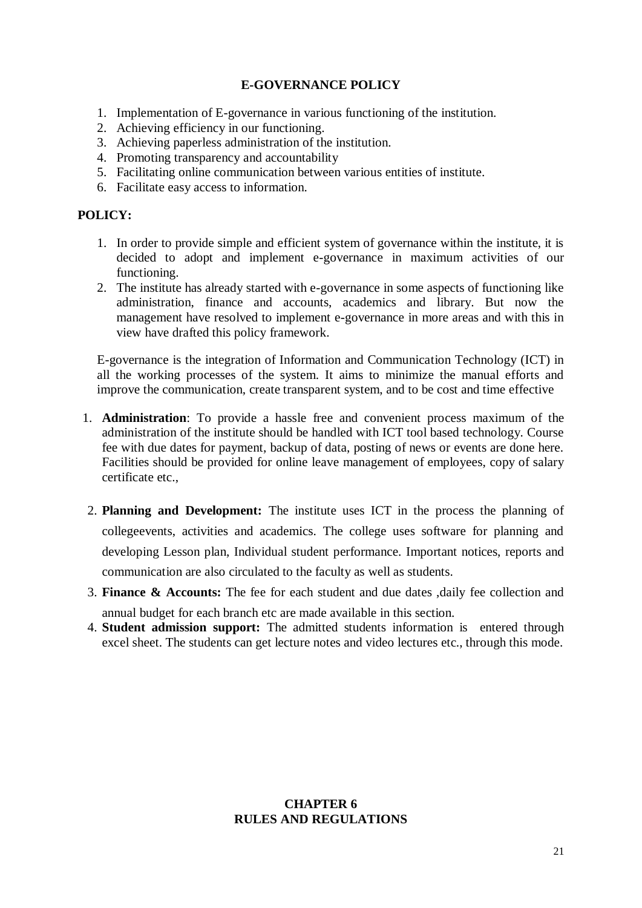# **E-GOVERNANCE POLICY**

- 1. Implementation of E-governance in various functioning of the institution.
- 2. Achieving efficiency in our functioning.
- 3. Achieving paperless administration of the institution.
- 4. Promoting transparency and accountability
- 5. Facilitating online communication between various entities of institute.
- 6. Facilitate easy access to information.

# **POLICY:**

- 1. In order to provide simple and efficient system of governance within the institute, it is decided to adopt and implement e-governance in maximum activities of our functioning.
- 2. The institute has already started with e-governance in some aspects of functioning like administration, finance and accounts, academics and library. But now the management have resolved to implement e-governance in more areas and with this in view have drafted this policy framework.

E-governance is the integration of Information and Communication Technology (ICT) in all the working processes of the system. It aims to minimize the manual efforts and improve the communication, create transparent system, and to be cost and time effective

- 1. **Administration**: To provide a hassle free and convenient process maximum of the administration of the institute should be handled with ICT tool based technology. Course fee with due dates for payment, backup of data, posting of news or events are done here. Facilities should be provided for online leave management of employees, copy of salary certificate etc.,
- 2. **Planning and Development:** The institute uses ICT in the process the planning of collegeevents, activities and academics. The college uses software for planning and developing Lesson plan, Individual student performance. Important notices, reports and communication are also circulated to the faculty as well as students.
- 3. **Finance & Accounts:** The fee for each student and due dates ,daily fee collection and annual budget for each branch etc are made available in this section.
- 4. **Student admission support:** The admitted students information is entered through excel sheet. The students can get lecture notes and video lectures etc., through this mode.

## **CHAPTER 6 RULES AND REGULATIONS**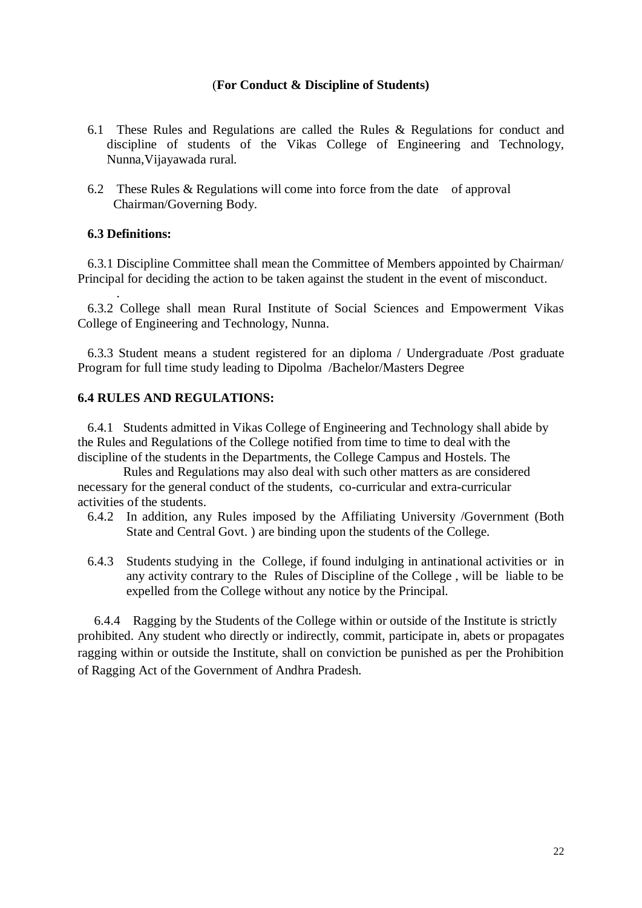#### (**For Conduct & Discipline of Students)**

- 6.1 These Rules and Regulations are called the Rules & Regulations for conduct and discipline of students of the Vikas College of Engineering and Technology, Nunna,Vijayawada rural.
- 6.2 These Rules & Regulations will come into force from the date of approval Chairman/Governing Body.

## **6.3 Definitions:**

.

 6.3.1 Discipline Committee shall mean the Committee of Members appointed by Chairman/ Principal for deciding the action to be taken against the student in the event of misconduct.

 6.3.2 College shall mean Rural Institute of Social Sciences and Empowerment Vikas College of Engineering and Technology, Nunna.

 6.3.3 Student means a student registered for an diploma / Undergraduate /Post graduate Program for full time study leading to Dipolma /Bachelor/Masters Degree

#### **6.4 RULES AND REGULATIONS:**

 6.4.1 Students admitted in Vikas College of Engineering and Technology shall abide by the Rules and Regulations of the College notified from time to time to deal with the discipline of the students in the Departments, the College Campus and Hostels. The

 Rules and Regulations may also deal with such other matters as are considered necessary for the general conduct of the students, co-curricular and extra-curricular activities of the students.

- 6.4.2 In addition, any Rules imposed by the Affiliating University /Government (Both State and Central Govt. ) are binding upon the students of the College.
- 6.4.3 Students studying in the College, if found indulging in antinational activities or in any activity contrary to the Rules of Discipline of the College , will be liable to be expelled from the College without any notice by the Principal.

6.4.4 Ragging by the Students of the College within or outside of the Institute is strictly prohibited. Any student who directly or indirectly, commit, participate in, abets or propagates ragging within or outside the Institute, shall on conviction be punished as per the Prohibition of Ragging Act of the Government of Andhra Pradesh.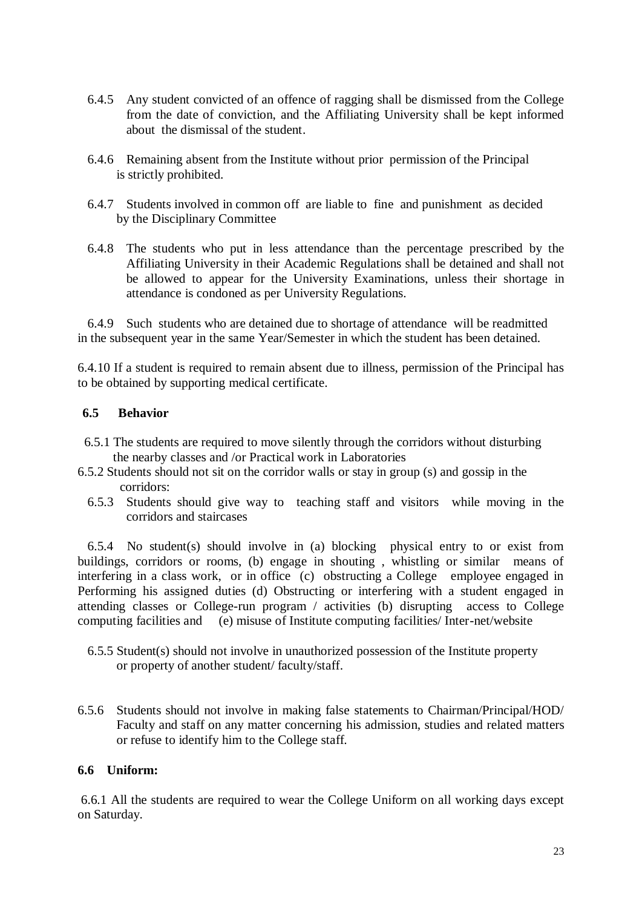- 6.4.5 Any student convicted of an offence of ragging shall be dismissed from the College from the date of conviction, and the Affiliating University shall be kept informed about the dismissal of the student.
- 6.4.6 Remaining absent from the Institute without prior permission of the Principal is strictly prohibited.
- 6.4.7 Students involved in common off are liable to fine and punishment as decided by the Disciplinary Committee
- 6.4.8 The students who put in less attendance than the percentage prescribed by the Affiliating University in their Academic Regulations shall be detained and shall not be allowed to appear for the University Examinations, unless their shortage in attendance is condoned as per University Regulations.

6.4.9 Such students who are detained due to shortage of attendance will be readmitted in the subsequent year in the same Year/Semester in which the student has been detained.

6.4.10 If a student is required to remain absent due to illness, permission of the Principal has to be obtained by supporting medical certificate.

## **6.5 Behavior**

- 6.5.1 The students are required to move silently through the corridors without disturbing the nearby classes and /or Practical work in Laboratories
- 6.5.2 Students should not sit on the corridor walls or stay in group (s) and gossip in the corridors:
	- 6.5.3 Students should give way to teaching staff and visitors while moving in the corridors and staircases

 6.5.4 No student(s) should involve in (a) blocking physical entry to or exist from buildings, corridors or rooms, (b) engage in shouting , whistling or similar means of interfering in a class work, or in office (c) obstructing a College employee engaged in Performing his assigned duties (d) Obstructing or interfering with a student engaged in attending classes or College-run program / activities (b) disrupting access to College computing facilities and (e) misuse of Institute computing facilities/ Inter-net/website

- 6.5.5 Student(s) should not involve in unauthorized possession of the Institute property or property of another student/ faculty/staff.
- 6.5.6 Students should not involve in making false statements to Chairman/Principal/HOD/ Faculty and staff on any matter concerning his admission, studies and related matters or refuse to identify him to the College staff.

#### **6.6 Uniform:**

6.6.1 All the students are required to wear the College Uniform on all working days except on Saturday.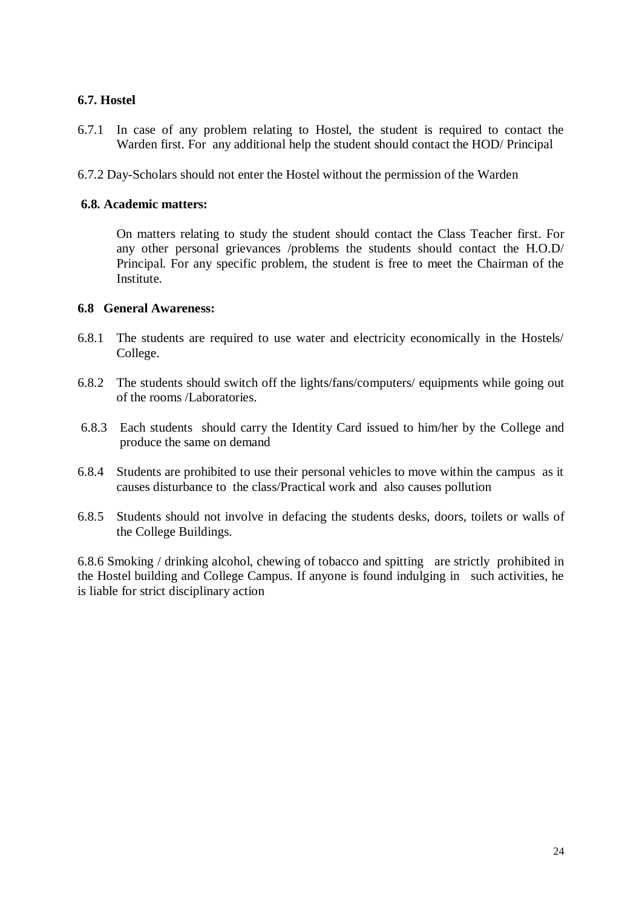## **6.7. Hostel**

- 6.7.1 In case of any problem relating to Hostel, the student is required to contact the Warden first. For any additional help the student should contact the HOD/ Principal
- 6.7.2 Day-Scholars should not enter the Hostel without the permission of the Warden

## **6.8. Academic matters:**

On matters relating to study the student should contact the Class Teacher first. For any other personal grievances /problems the students should contact the H.O.D/ Principal. For any specific problem, the student is free to meet the Chairman of the Institute.

## **6.8 General Awareness:**

- 6.8.1 The students are required to use water and electricity economically in the Hostels/ College.
- 6.8.2 The students should switch off the lights/fans/computers/ equipments while going out of the rooms /Laboratories.
- 6.8.3 Each students should carry the Identity Card issued to him/her by the College and produce the same on demand
- 6.8.4 Students are prohibited to use their personal vehicles to move within the campus as it causes disturbance to the class/Practical work and also causes pollution
- 6.8.5 Students should not involve in defacing the students desks, doors, toilets or walls of the College Buildings.

6.8.6 Smoking / drinking alcohol, chewing of tobacco and spitting are strictly prohibited in the Hostel building and College Campus. If anyone is found indulging in such activities, he is liable for strict disciplinary action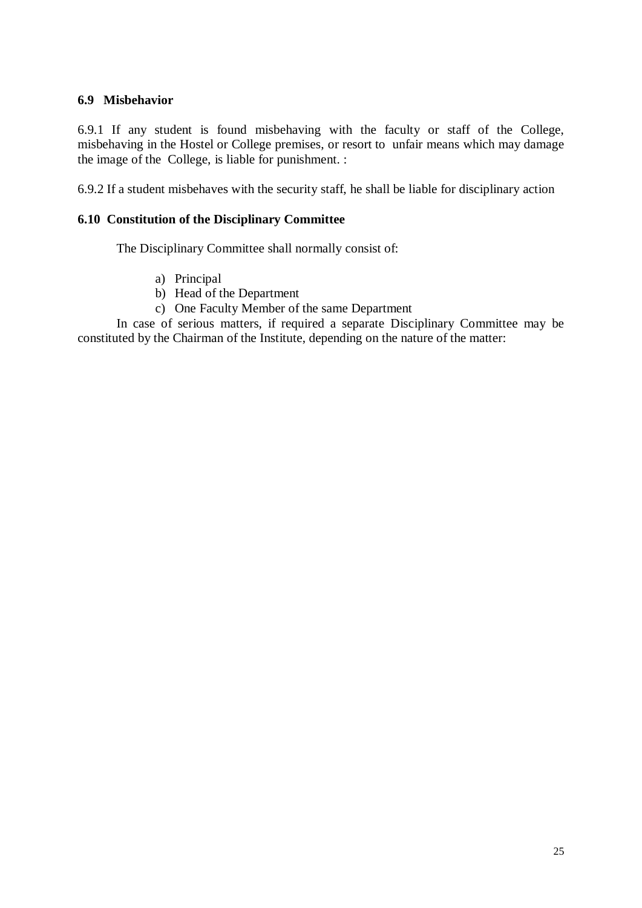## **6.9 Misbehavior**

6.9.1 If any student is found misbehaving with the faculty or staff of the College, misbehaving in the Hostel or College premises, or resort to unfair means which may damage the image of the College, is liable for punishment. :

6.9.2 If a student misbehaves with the security staff, he shall be liable for disciplinary action

## **6.10 Constitution of the Disciplinary Committee**

The Disciplinary Committee shall normally consist of:

- a) Principal
- b) Head of the Department
- c) One Faculty Member of the same Department

In case of serious matters, if required a separate Disciplinary Committee may be constituted by the Chairman of the Institute, depending on the nature of the matter: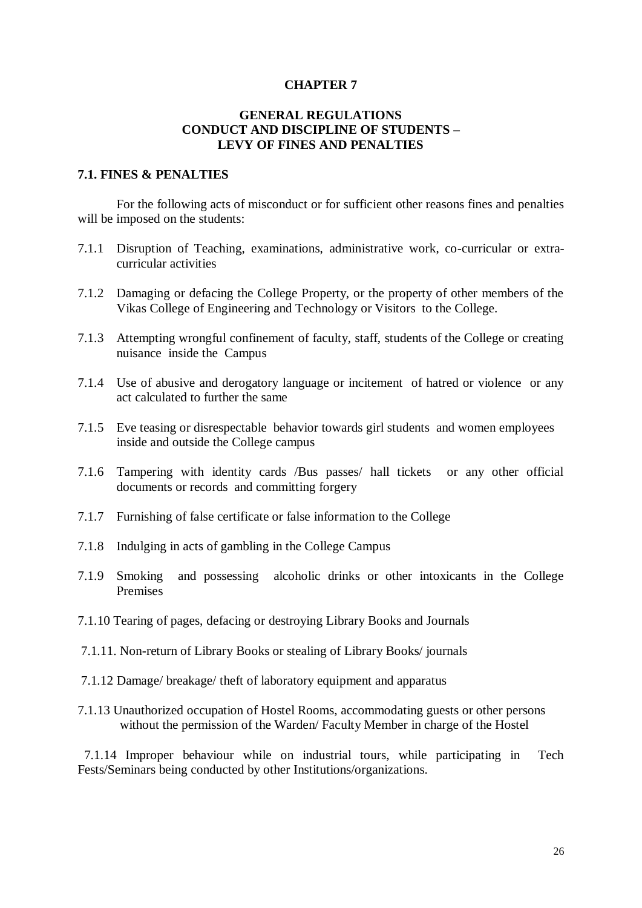#### **CHAPTER 7**

#### **GENERAL REGULATIONS CONDUCT AND DISCIPLINE OF STUDENTS – LEVY OF FINES AND PENALTIES**

### **7.1. FINES & PENALTIES**

For the following acts of misconduct or for sufficient other reasons fines and penalties will be imposed on the students:

- 7.1.1 Disruption of Teaching, examinations, administrative work, co-curricular or extracurricular activities
- 7.1.2 Damaging or defacing the College Property, or the property of other members of the Vikas College of Engineering and Technology or Visitors to the College.
- 7.1.3 Attempting wrongful confinement of faculty, staff, students of the College or creating nuisance inside the Campus
- 7.1.4 Use of abusive and derogatory language or incitement of hatred or violence or any act calculated to further the same
- 7.1.5 Eve teasing or disrespectable behavior towards girl students and women employees inside and outside the College campus
- 7.1.6 Tampering with identity cards /Bus passes/ hall tickets or any other official documents or records and committing forgery
- 7.1.7 Furnishing of false certificate or false information to the College
- 7.1.8 Indulging in acts of gambling in the College Campus
- 7.1.9 Smoking and possessing alcoholic drinks or other intoxicants in the College Premises
- 7.1.10 Tearing of pages, defacing or destroying Library Books and Journals
- 7.1.11. Non-return of Library Books or stealing of Library Books/ journals
- 7.1.12 Damage/ breakage/ theft of laboratory equipment and apparatus
- 7.1.13 Unauthorized occupation of Hostel Rooms, accommodating guests or other persons without the permission of the Warden/ Faculty Member in charge of the Hostel

 7.1.14 Improper behaviour while on industrial tours, while participating in Tech Fests/Seminars being conducted by other Institutions/organizations.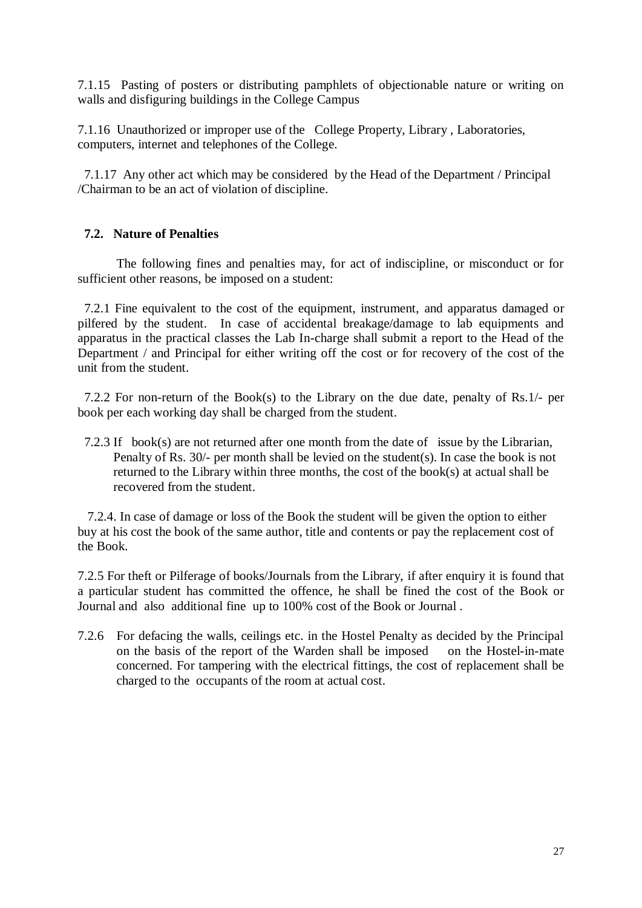7.1.15 Pasting of posters or distributing pamphlets of objectionable nature or writing on walls and disfiguring buildings in the College Campus

7.1.16 Unauthorized or improper use of the College Property, Library , Laboratories, computers, internet and telephones of the College.

 7.1.17 Any other act which may be considered by the Head of the Department / Principal /Chairman to be an act of violation of discipline.

## **7.2. Nature of Penalties**

The following fines and penalties may, for act of indiscipline, or misconduct or for sufficient other reasons, be imposed on a student:

 7.2.1 Fine equivalent to the cost of the equipment, instrument, and apparatus damaged or pilfered by the student. In case of accidental breakage/damage to lab equipments and apparatus in the practical classes the Lab In-charge shall submit a report to the Head of the Department / and Principal for either writing off the cost or for recovery of the cost of the unit from the student.

 7.2.2 For non-return of the Book(s) to the Library on the due date, penalty of Rs.1/- per book per each working day shall be charged from the student.

 7.2.3 If book(s) are not returned after one month from the date of issue by the Librarian, Penalty of Rs. 30/- per month shall be levied on the student(s). In case the book is not returned to the Library within three months, the cost of the book(s) at actual shall be recovered from the student.

 7.2.4. In case of damage or loss of the Book the student will be given the option to either buy at his cost the book of the same author, title and contents or pay the replacement cost of the Book.

7.2.5 For theft or Pilferage of books/Journals from the Library, if after enquiry it is found that a particular student has committed the offence, he shall be fined the cost of the Book or Journal and also additional fine up to 100% cost of the Book or Journal .

7.2.6 For defacing the walls, ceilings etc. in the Hostel Penalty as decided by the Principal on the basis of the report of the Warden shall be imposed on the Hostel-in-mate concerned. For tampering with the electrical fittings, the cost of replacement shall be charged to the occupants of the room at actual cost.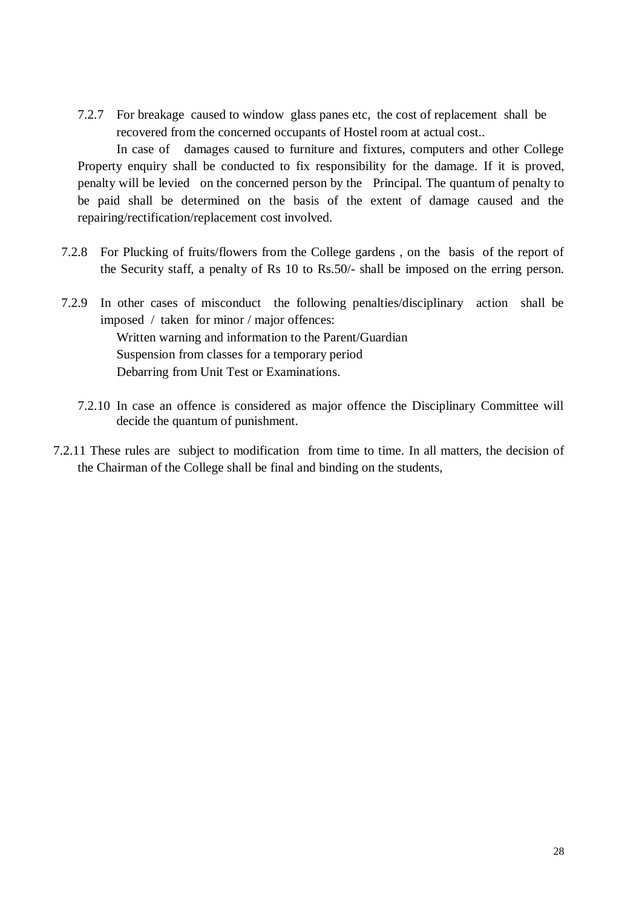7.2.7 For breakage caused to window glass panes etc, the cost of replacement shall be recovered from the concerned occupants of Hostel room at actual cost..

In case of damages caused to furniture and fixtures, computers and other College Property enquiry shall be conducted to fix responsibility for the damage. If it is proved, penalty will be levied on the concerned person by the Principal. The quantum of penalty to be paid shall be determined on the basis of the extent of damage caused and the repairing/rectification/replacement cost involved.

- 7.2.8 For Plucking of fruits/flowers from the College gardens , on the basis of the report of the Security staff, a penalty of Rs 10 to Rs.50/- shall be imposed on the erring person.
- 7.2.9 In other cases of misconduct the following penalties/disciplinary action shall be imposed / taken for minor / major offences: Written warning and information to the Parent/Guardian Suspension from classes for a temporary period Debarring from Unit Test or Examinations.
	- 7.2.10 In case an offence is considered as major offence the Disciplinary Committee will decide the quantum of punishment.
- 7.2.11 These rules are subject to modification from time to time. In all matters, the decision of the Chairman of the College shall be final and binding on the students,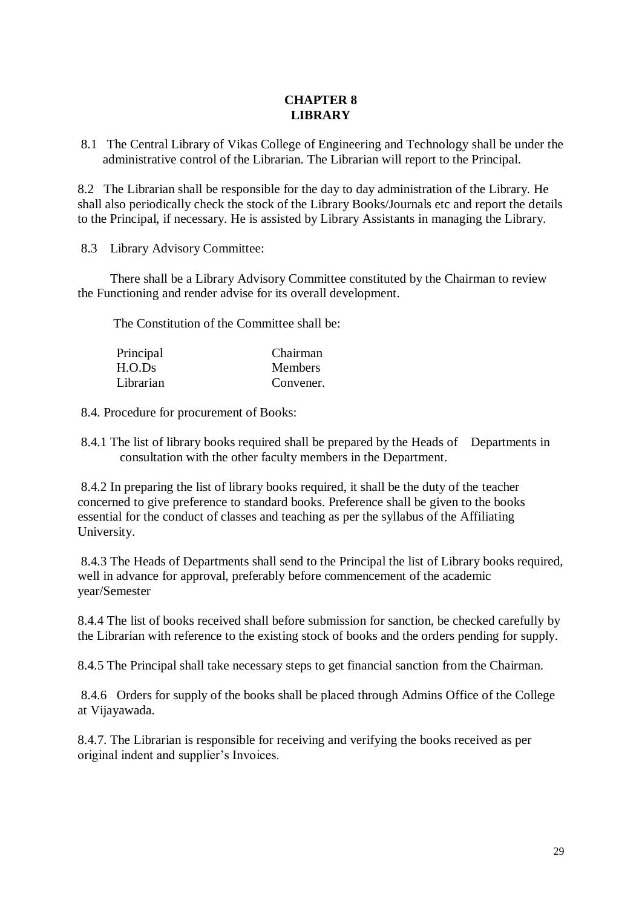# **CHAPTER 8 LIBRARY**

8.1 The Central Library of Vikas College of Engineering and Technology shall be under the administrative control of the Librarian. The Librarian will report to the Principal.

8.2 The Librarian shall be responsible for the day to day administration of the Library. He shall also periodically check the stock of the Library Books/Journals etc and report the details to the Principal, if necessary. He is assisted by Library Assistants in managing the Library.

8.3 Library Advisory Committee:

 There shall be a Library Advisory Committee constituted by the Chairman to review the Functioning and render advise for its overall development.

The Constitution of the Committee shall be:

| Principal | Chairman       |
|-----------|----------------|
| H.O.Ds    | <b>Members</b> |
| Librarian | Convener.      |

8.4. Procedure for procurement of Books:

8.4.1 The list of library books required shall be prepared by the Heads of Departments in consultation with the other faculty members in the Department.

8.4.2 In preparing the list of library books required, it shall be the duty of the teacher concerned to give preference to standard books. Preference shall be given to the books essential for the conduct of classes and teaching as per the syllabus of the Affiliating University.

8.4.3 The Heads of Departments shall send to the Principal the list of Library books required, well in advance for approval, preferably before commencement of the academic year/Semester

8.4.4 The list of books received shall before submission for sanction, be checked carefully by the Librarian with reference to the existing stock of books and the orders pending for supply.

8.4.5 The Principal shall take necessary steps to get financial sanction from the Chairman.

8.4.6 Orders for supply of the books shall be placed through Admins Office of the College at Vijayawada.

8.4.7. The Librarian is responsible for receiving and verifying the books received as per original indent and supplier's Invoices.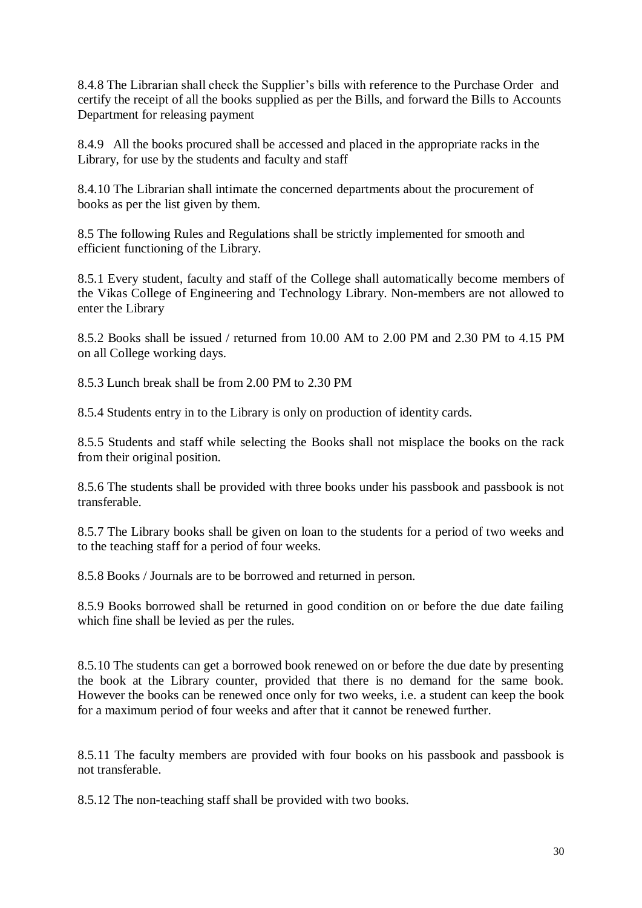8.4.8 The Librarian shall check the Supplier's bills with reference to the Purchase Order and certify the receipt of all the books supplied as per the Bills, and forward the Bills to Accounts Department for releasing payment

8.4.9 All the books procured shall be accessed and placed in the appropriate racks in the Library, for use by the students and faculty and staff

8.4.10 The Librarian shall intimate the concerned departments about the procurement of books as per the list given by them.

8.5 The following Rules and Regulations shall be strictly implemented for smooth and efficient functioning of the Library.

8.5.1 Every student, faculty and staff of the College shall automatically become members of the Vikas College of Engineering and Technology Library. Non-members are not allowed to enter the Library

8.5.2 Books shall be issued / returned from 10.00 AM to 2.00 PM and 2.30 PM to 4.15 PM on all College working days.

8.5.3 Lunch break shall be from 2.00 PM to 2.30 PM

8.5.4 Students entry in to the Library is only on production of identity cards.

8.5.5 Students and staff while selecting the Books shall not misplace the books on the rack from their original position.

8.5.6 The students shall be provided with three books under his passbook and passbook is not transferable.

8.5.7 The Library books shall be given on loan to the students for a period of two weeks and to the teaching staff for a period of four weeks.

8.5.8 Books / Journals are to be borrowed and returned in person.

8.5.9 Books borrowed shall be returned in good condition on or before the due date failing which fine shall be levied as per the rules.

8.5.10 The students can get a borrowed book renewed on or before the due date by presenting the book at the Library counter, provided that there is no demand for the same book. However the books can be renewed once only for two weeks, i.e. a student can keep the book for a maximum period of four weeks and after that it cannot be renewed further.

8.5.11 The faculty members are provided with four books on his passbook and passbook is not transferable.

8.5.12 The non-teaching staff shall be provided with two books.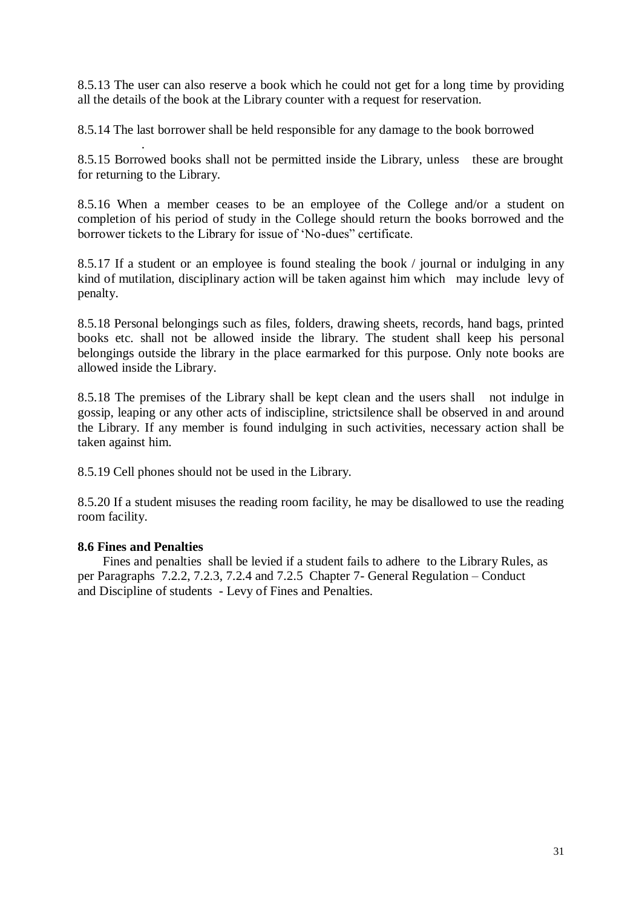8.5.13 The user can also reserve a book which he could not get for a long time by providing all the details of the book at the Library counter with a request for reservation.

8.5.14 The last borrower shall be held responsible for any damage to the book borrowed

. 8.5.15 Borrowed books shall not be permitted inside the Library, unless these are brought for returning to the Library.

8.5.16 When a member ceases to be an employee of the College and/or a student on completion of his period of study in the College should return the books borrowed and the borrower tickets to the Library for issue of 'No-dues" certificate.

8.5.17 If a student or an employee is found stealing the book / journal or indulging in any kind of mutilation, disciplinary action will be taken against him which may include levy of penalty.

8.5.18 Personal belongings such as files, folders, drawing sheets, records, hand bags, printed books etc. shall not be allowed inside the library. The student shall keep his personal belongings outside the library in the place earmarked for this purpose. Only note books are allowed inside the Library.

8.5.18 The premises of the Library shall be kept clean and the users shall not indulge in gossip, leaping or any other acts of indiscipline, strictsilence shall be observed in and around the Library. If any member is found indulging in such activities, necessary action shall be taken against him.

8.5.19 Cell phones should not be used in the Library.

8.5.20 If a student misuses the reading room facility, he may be disallowed to use the reading room facility.

## **8.6 Fines and Penalties**

Fines and penalties shall be levied if a student fails to adhere to the Library Rules, as per Paragraphs 7.2.2, 7.2.3, 7.2.4 and 7.2.5 Chapter 7- General Regulation – Conduct and Discipline of students - Levy of Fines and Penalties.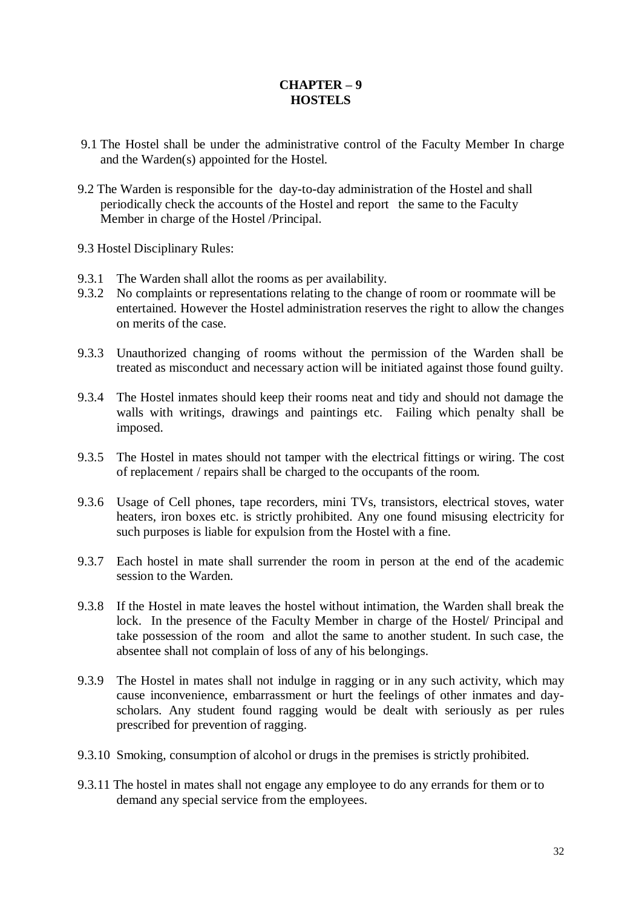# **CHAPTER – 9 HOSTELS**

- 9.1 The Hostel shall be under the administrative control of the Faculty Member In charge and the Warden(s) appointed for the Hostel.
- 9.2 The Warden is responsible for the day-to-day administration of the Hostel and shall periodically check the accounts of the Hostel and report the same to the Faculty Member in charge of the Hostel /Principal.
- 9.3 Hostel Disciplinary Rules:
- 9.3.1 The Warden shall allot the rooms as per availability.
- 9.3.2 No complaints or representations relating to the change of room or roommate will be entertained. However the Hostel administration reserves the right to allow the changes on merits of the case.
- 9.3.3 Unauthorized changing of rooms without the permission of the Warden shall be treated as misconduct and necessary action will be initiated against those found guilty.
- 9.3.4 The Hostel inmates should keep their rooms neat and tidy and should not damage the walls with writings, drawings and paintings etc. Failing which penalty shall be imposed.
- 9.3.5 The Hostel in mates should not tamper with the electrical fittings or wiring. The cost of replacement / repairs shall be charged to the occupants of the room.
- 9.3.6 Usage of Cell phones, tape recorders, mini TVs, transistors, electrical stoves, water heaters, iron boxes etc. is strictly prohibited. Any one found misusing electricity for such purposes is liable for expulsion from the Hostel with a fine.
- 9.3.7 Each hostel in mate shall surrender the room in person at the end of the academic session to the Warden.
- 9.3.8 If the Hostel in mate leaves the hostel without intimation, the Warden shall break the lock. In the presence of the Faculty Member in charge of the Hostel/ Principal and take possession of the room and allot the same to another student. In such case, the absentee shall not complain of loss of any of his belongings.
- 9.3.9 The Hostel in mates shall not indulge in ragging or in any such activity, which may cause inconvenience, embarrassment or hurt the feelings of other inmates and dayscholars. Any student found ragging would be dealt with seriously as per rules prescribed for prevention of ragging.
- 9.3.10 Smoking, consumption of alcohol or drugs in the premises is strictly prohibited.
- 9.3.11 The hostel in mates shall not engage any employee to do any errands for them or to demand any special service from the employees.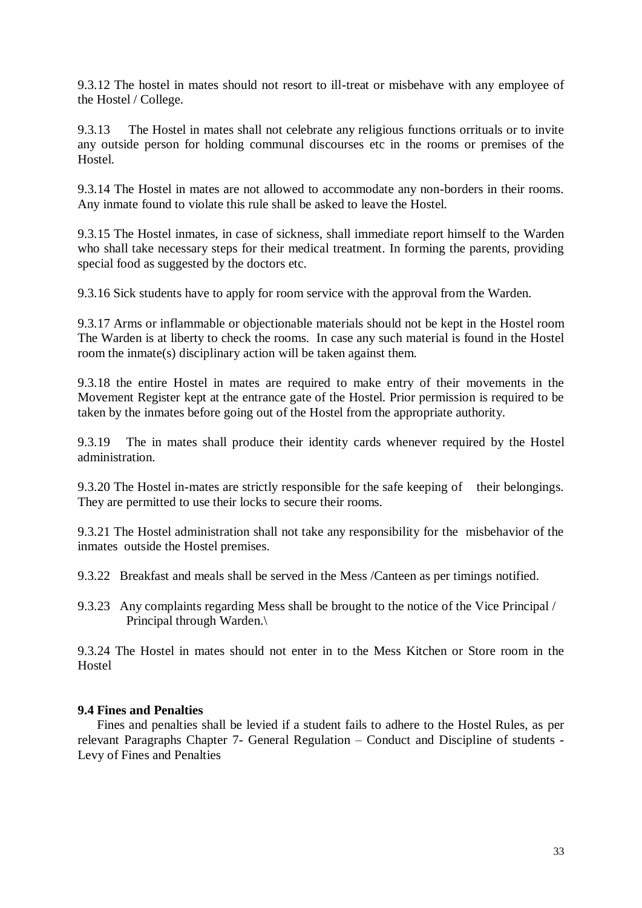9.3.12 The hostel in mates should not resort to ill-treat or misbehave with any employee of the Hostel / College.

9.3.13 The Hostel in mates shall not celebrate any religious functions orrituals or to invite any outside person for holding communal discourses etc in the rooms or premises of the Hostel.

9.3.14 The Hostel in mates are not allowed to accommodate any non-borders in their rooms. Any inmate found to violate this rule shall be asked to leave the Hostel.

9.3.15 The Hostel inmates, in case of sickness, shall immediate report himself to the Warden who shall take necessary steps for their medical treatment. In forming the parents, providing special food as suggested by the doctors etc.

9.3.16 Sick students have to apply for room service with the approval from the Warden.

9.3.17 Arms or inflammable or objectionable materials should not be kept in the Hostel room The Warden is at liberty to check the rooms. In case any such material is found in the Hostel room the inmate(s) disciplinary action will be taken against them.

9.3.18 the entire Hostel in mates are required to make entry of their movements in the Movement Register kept at the entrance gate of the Hostel. Prior permission is required to be taken by the inmates before going out of the Hostel from the appropriate authority.

9.3.19 The in mates shall produce their identity cards whenever required by the Hostel administration.

9.3.20 The Hostel in-mates are strictly responsible for the safe keeping of their belongings. They are permitted to use their locks to secure their rooms.

9.3.21 The Hostel administration shall not take any responsibility for the misbehavior of the inmates outside the Hostel premises.

9.3.22 Breakfast and meals shall be served in the Mess /Canteen as per timings notified.

9.3.23 Any complaints regarding Mess shall be brought to the notice of the Vice Principal / Principal through Warden.\

9.3.24 The Hostel in mates should not enter in to the Mess Kitchen or Store room in the Hostel

#### **9.4 Fines and Penalties**

Fines and penalties shall be levied if a student fails to adhere to the Hostel Rules, as per relevant Paragraphs Chapter 7- General Regulation – Conduct and Discipline of students - Levy of Fines and Penalties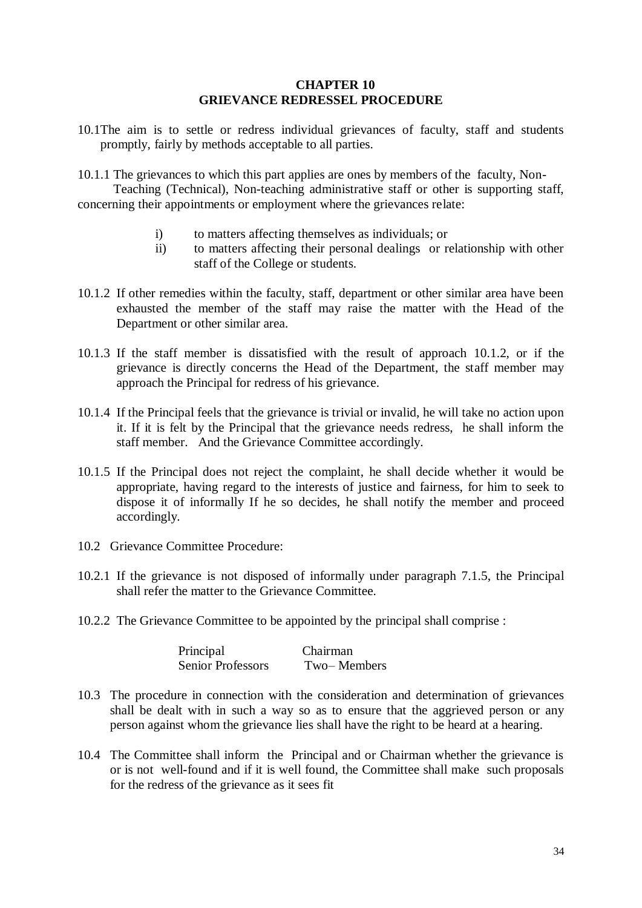#### **CHAPTER 10 GRIEVANCE REDRESSEL PROCEDURE**

10.1The aim is to settle or redress individual grievances of faculty, staff and students promptly, fairly by methods acceptable to all parties.

10.1.1 The grievances to which this part applies are ones by members of the faculty, Non-

 Teaching (Technical), Non-teaching administrative staff or other is supporting staff, concerning their appointments or employment where the grievances relate:

- i) to matters affecting themselves as individuals; or
- ii) to matters affecting their personal dealings or relationship with other staff of the College or students.
- 10.1.2 If other remedies within the faculty, staff, department or other similar area have been exhausted the member of the staff may raise the matter with the Head of the Department or other similar area.
- 10.1.3 If the staff member is dissatisfied with the result of approach 10.1.2, or if the grievance is directly concerns the Head of the Department, the staff member may approach the Principal for redress of his grievance.
- 10.1.4 If the Principal feels that the grievance is trivial or invalid, he will take no action upon it. If it is felt by the Principal that the grievance needs redress, he shall inform the staff member. And the Grievance Committee accordingly.
- 10.1.5 If the Principal does not reject the complaint, he shall decide whether it would be appropriate, having regard to the interests of justice and fairness, for him to seek to dispose it of informally If he so decides, he shall notify the member and proceed accordingly.
- 10.2 Grievance Committee Procedure:
- 10.2.1 If the grievance is not disposed of informally under paragraph 7.1.5, the Principal shall refer the matter to the Grievance Committee.
- 10.2.2 The Grievance Committee to be appointed by the principal shall comprise :

| Principal                | Chairman    |
|--------------------------|-------------|
| <b>Senior Professors</b> | Two-Members |

- 10.3 The procedure in connection with the consideration and determination of grievances shall be dealt with in such a way so as to ensure that the aggrieved person or any person against whom the grievance lies shall have the right to be heard at a hearing.
- 10.4 The Committee shall inform the Principal and or Chairman whether the grievance is or is not well-found and if it is well found, the Committee shall make such proposals for the redress of the grievance as it sees fit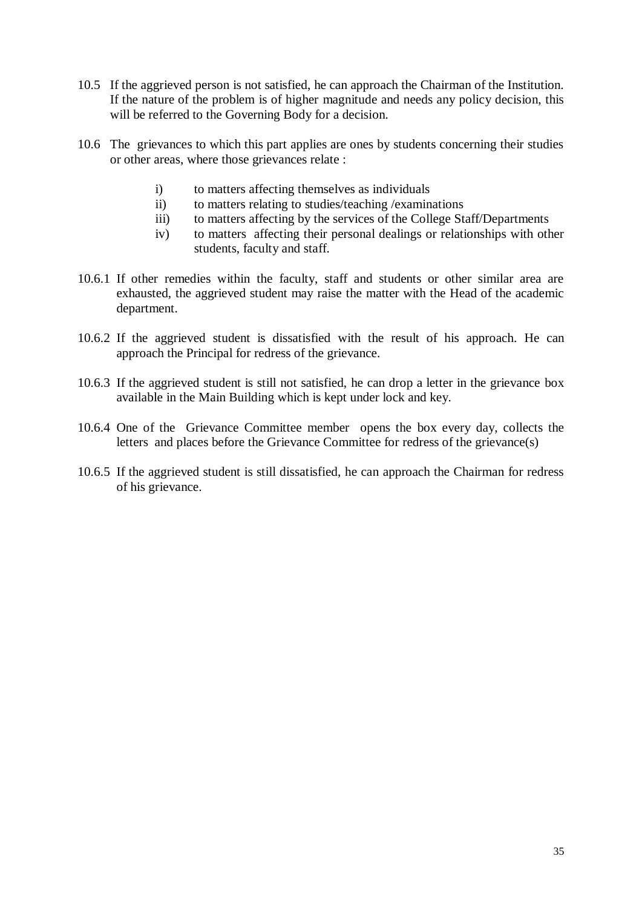- 10.5 If the aggrieved person is not satisfied, he can approach the Chairman of the Institution. If the nature of the problem is of higher magnitude and needs any policy decision, this will be referred to the Governing Body for a decision.
- 10.6 The grievances to which this part applies are ones by students concerning their studies or other areas, where those grievances relate :
	- i) to matters affecting themselves as individuals
	- ii) to matters relating to studies/teaching /examinations
	- iii) to matters affecting by the services of the College Staff/Departments
	- iv) to matters affecting their personal dealings or relationships with other students, faculty and staff.
- 10.6.1 If other remedies within the faculty, staff and students or other similar area are exhausted, the aggrieved student may raise the matter with the Head of the academic department.
- 10.6.2 If the aggrieved student is dissatisfied with the result of his approach. He can approach the Principal for redress of the grievance.
- 10.6.3 If the aggrieved student is still not satisfied, he can drop a letter in the grievance box available in the Main Building which is kept under lock and key.
- 10.6.4 One of the Grievance Committee member opens the box every day, collects the letters and places before the Grievance Committee for redress of the grievance(s)
- 10.6.5 If the aggrieved student is still dissatisfied, he can approach the Chairman for redress of his grievance.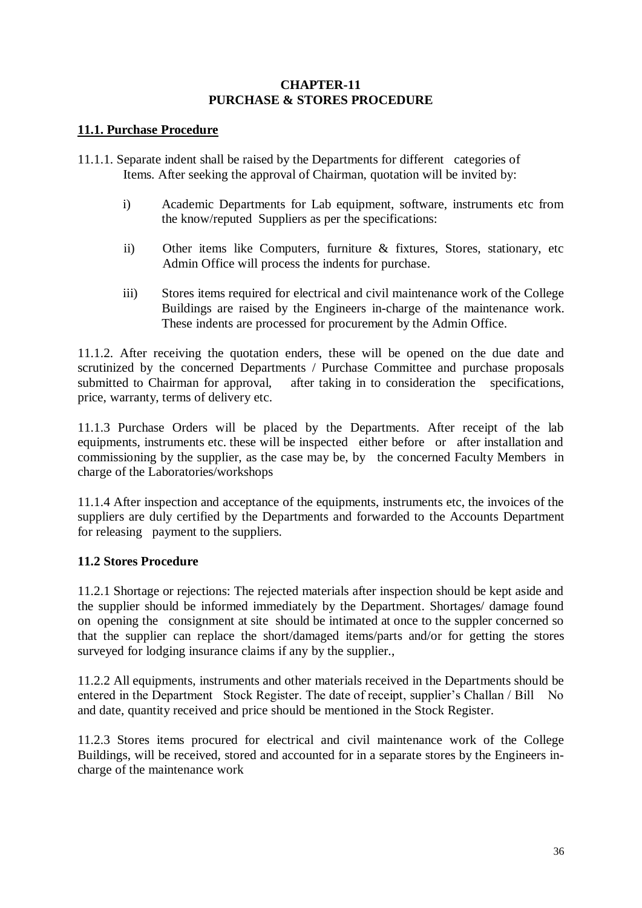## **CHAPTER-11 PURCHASE & STORES PROCEDURE**

# **11.1. Purchase Procedure**

- 11.1.1. Separate indent shall be raised by the Departments for different categories of Items. After seeking the approval of Chairman, quotation will be invited by:
	- i) Academic Departments for Lab equipment, software, instruments etc from the know/reputed Suppliers as per the specifications:
	- ii) Other items like Computers, furniture & fixtures, Stores, stationary, etc Admin Office will process the indents for purchase.
	- iii) Stores items required for electrical and civil maintenance work of the College Buildings are raised by the Engineers in-charge of the maintenance work. These indents are processed for procurement by the Admin Office.

11.1.2. After receiving the quotation enders, these will be opened on the due date and scrutinized by the concerned Departments / Purchase Committee and purchase proposals submitted to Chairman for approval, after taking in to consideration the specifications, price, warranty, terms of delivery etc.

11.1.3 Purchase Orders will be placed by the Departments. After receipt of the lab equipments, instruments etc. these will be inspected either before or after installation and commissioning by the supplier, as the case may be, by the concerned Faculty Members in charge of the Laboratories/workshops

11.1.4 After inspection and acceptance of the equipments, instruments etc, the invoices of the suppliers are duly certified by the Departments and forwarded to the Accounts Department for releasing payment to the suppliers.

# **11.2 Stores Procedure**

11.2.1 Shortage or rejections: The rejected materials after inspection should be kept aside and the supplier should be informed immediately by the Department. Shortages/ damage found on opening the consignment at site should be intimated at once to the suppler concerned so that the supplier can replace the short/damaged items/parts and/or for getting the stores surveyed for lodging insurance claims if any by the supplier.,

11.2.2 All equipments, instruments and other materials received in the Departments should be entered in the Department Stock Register. The date of receipt, supplier's Challan / Bill No and date, quantity received and price should be mentioned in the Stock Register.

11.2.3 Stores items procured for electrical and civil maintenance work of the College Buildings, will be received, stored and accounted for in a separate stores by the Engineers incharge of the maintenance work